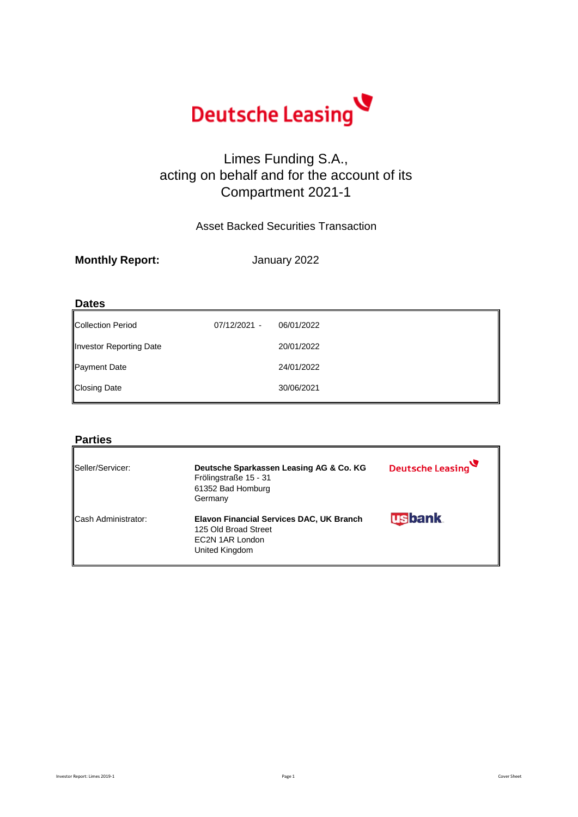

## Limes Funding S.A., acting on behalf and for the account of its Compartment 2021-1

Asset Backed Securities Transaction

| <b>Monthly Report:</b> | January 2022 |
|------------------------|--------------|
|                        |              |

### **Dates**

| Collection Period       | 07/12/2021 - | 06/01/2022 |
|-------------------------|--------------|------------|
| Investor Reporting Date |              | 20/01/2022 |
| Payment Date            |              | 24/01/2022 |
| <b>Closing Date</b>     |              | 30/06/2021 |

### **Parties**

| Seller/Servicer:           | Deutsche Sparkassen Leasing AG & Co. KG<br>Frölingstraße 15 - 31<br>61352 Bad Homburg<br>Germany      | Deutsche Leasing |
|----------------------------|-------------------------------------------------------------------------------------------------------|------------------|
| <b>Cash Administrator:</b> | Elavon Financial Services DAC, UK Branch<br>125 Old Broad Street<br>EC2N 1AR London<br>United Kingdom | <b>usbank</b>    |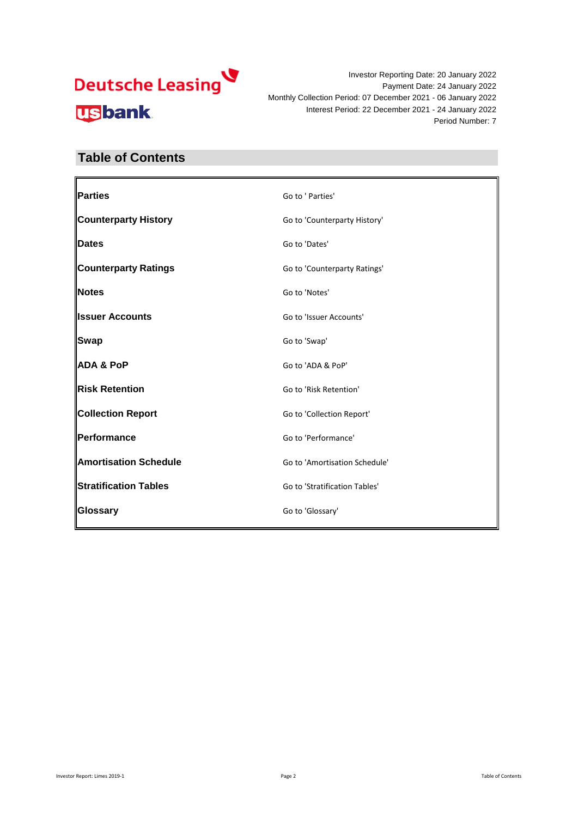Investor Reporting Date: 20 January 2022 Payment Date: 24 January 2022 Monthly Collection Period: 07 December 2021 - 06 January 2022 Interest Period: 22 December 2021 - 24 January 2022 Period Number: 7

### **Table of Contents**

| Parties                      | Go to ' Parties'              |
|------------------------------|-------------------------------|
| <b>Counterparty History</b>  | Go to 'Counterparty History'  |
| Dates                        | Go to 'Dates'                 |
| <b>Counterparty Ratings</b>  | Go to 'Counterparty Ratings'  |
| Notes                        | Go to 'Notes'                 |
| <b>Issuer Accounts</b>       | Go to 'Issuer Accounts'       |
| Swap                         | Go to 'Swap'                  |
| <b>ADA &amp; PoP</b>         | Go to 'ADA & PoP'             |
| Risk Retention               | Go to 'Risk Retention'        |
| <b>Collection Report</b>     | Go to 'Collection Report'     |
| Performance                  | Go to 'Performance'           |
| <b>Amortisation Schedule</b> | Go to 'Amortisation Schedule' |
| <b>Stratification Tables</b> | Go to 'Stratification Tables' |
| Glossary                     | Go to 'Glossary'              |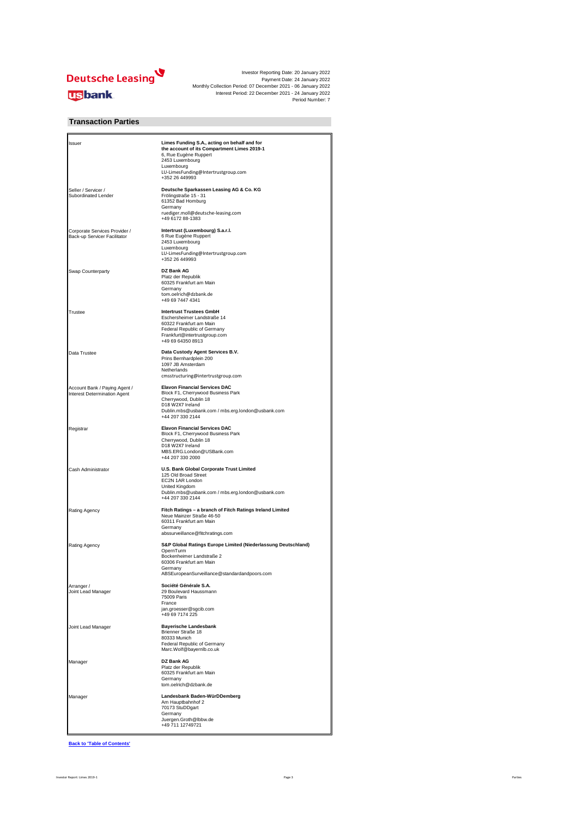

### **Transaction Parties**

| Issuer                                                        | Limes Funding S.A., acting on behalf and for<br>the account of its Compartment Limes 2019-1<br>6, Rue Eugène Ruppert<br>2453 Luxembourg<br>Luxembourg<br>LU-LimesFunding@Intertrustgroup.com<br>+352 26 449993 |
|---------------------------------------------------------------|----------------------------------------------------------------------------------------------------------------------------------------------------------------------------------------------------------------|
| Seller / Servicer /<br>Subordinated Lender                    | Deutsche Sparkassen Leasing AG & Co. KG<br>Frölingstraße 15 - 31<br>61352 Bad Homburg<br>Germany<br>ruediger.moll@deutsche-leasing.com<br>+49 6172 88-1383                                                     |
| Corporate Services Provider /<br>Back-up Servicer Facilitator | Intertrust (Luxembourg) S.a.r.l.<br>6 Rue Eugène Ruppert<br>2453 Luxembourg<br>Luxembourg<br>LU-LimesFunding@Intertrustgroup.com<br>+352 26 449993                                                             |
| Swap Counterparty                                             | DZ Bank AG<br>Platz der Republik<br>60325 Frankfurt am Main<br>Germany<br>tom.oelrich@dzbank.de<br>+49 69 7447 4341                                                                                            |
| Trustee                                                       | <b>Intertrust Trustees GmbH</b><br>Eschersheimer Landstraße 14<br>60322 Frankfurt am Main<br>Federal Republic of Germany<br>Frankfurt@intertrustgroup.com<br>+49 69 64350 8913                                 |
| Data Trustee                                                  | Data Custody Agent Services B.V.<br>Prins Bernhardplein 200<br>1097 JB Amsterdam<br>Netherlands<br>cmsstructuring@intertrustgroup.com                                                                          |
| Account Bank / Paying Agent /<br>Interest Determination Agent | <b>Elavon Financial Services DAC</b><br>Block F1, Cherrywood Business Park<br>Cherrywood, Dublin 18<br>D18 W2X7 Ireland<br>Dublin.mbs@usbank.com / mbs.erg.london@usbank.com<br>+44 207 330 2144               |
| Registrar                                                     | <b>Elavon Financial Services DAC</b><br>Block F1, Cherrywood Business Park<br>Cherrywood, Dublin 18<br>D18 W2X7 Ireland<br>MBS.ERG.London@USBank.com<br>+44 207 330 2000                                       |
| Cash Administrator                                            | U.S. Bank Global Corporate Trust Limited<br>125 Old Broad Street<br>EC2N 1AR London<br>United Kingdom<br>Dublin.mbs@usbank.com / mbs.erg.london@usbank.com<br>+44 207 330 2144                                 |
| Rating Agency                                                 | Fitch Ratings - a branch of Fitch Ratings Ireland Limited<br>Neue Mainzer Straße 46-50<br>60311 Frankfurt am Main<br>Germany<br>abssurveillance@fitchratings.com                                               |
| Rating Agency                                                 | S&P Global Ratings Europe Limited (Niederlassung Deutschland)<br>OpernTurm<br>Bockenheimer Landstraße 2<br>60306 Frankfurt am Main<br>Germany<br>ABSEuropeanSurveillance@standardandpoors.com                  |
| Arranger /<br>Joint Lead Manager                              | Société Générale S.A.<br>29 Boulevard Haussmann<br>75009 Paris<br>France<br>jan.groesser@sgcib.com<br>+49 69 7174 225                                                                                          |
| Joint Lead Manager                                            | <b>Bayerische Landesbank</b><br>Brienner Straße 18<br>80333 Munich<br>Federal Republic of Germany<br>Marc.Wolf@bayernlb.co.uk                                                                                  |
| Manager                                                       | DZ Bank AG<br>Platz der Republik<br>60325 Frankfurt am Main<br>Germany<br>tom.oelrich@dzbank.de                                                                                                                |
| Manager                                                       | Landesbank Baden-WürDDemberg<br>Am Hauptbahnhof 2<br>70173 StuDDgart<br>Germany<br>Juergen.Groth@lbbw.de<br>+49 711 12749721                                                                                   |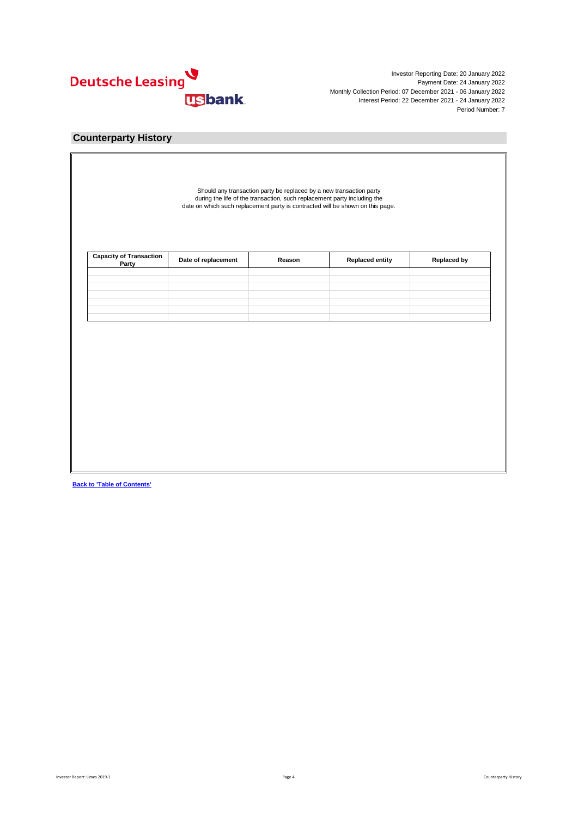

### **Counterparty History**

| Party | Date of replacement | Reason | <b>Replaced entity</b> | <b>Replaced by</b> |
|-------|---------------------|--------|------------------------|--------------------|
|       |                     |        |                        |                    |
|       |                     |        |                        |                    |
|       |                     |        |                        |                    |
|       |                     |        |                        |                    |
|       |                     |        |                        |                    |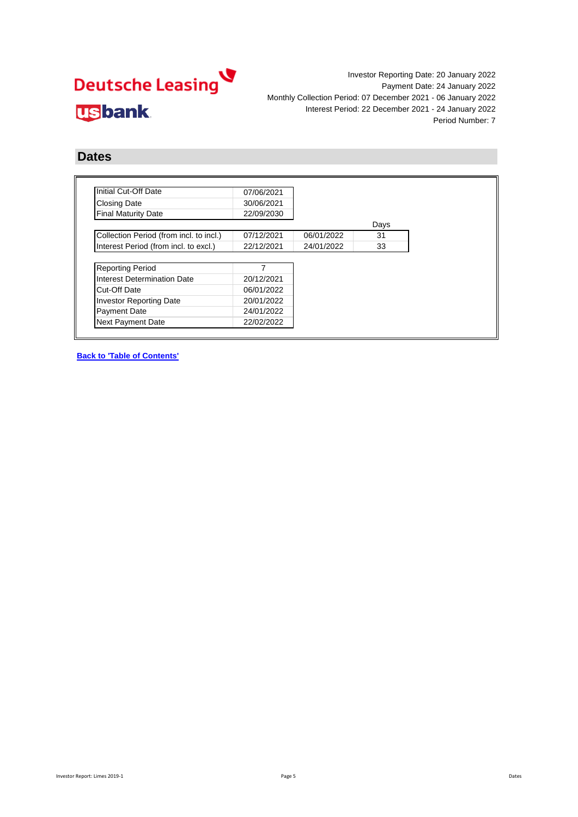

### **Dates**

| Initial Cut-Off Date                    | 07/06/2021 |            |      |
|-----------------------------------------|------------|------------|------|
| <b>Closing Date</b>                     | 30/06/2021 |            |      |
| <b>Final Maturity Date</b>              | 22/09/2030 |            |      |
|                                         |            |            | Days |
| Collection Period (from incl. to incl.) | 07/12/2021 | 06/01/2022 | 31   |
| Interest Period (from incl. to excl.)   | 22/12/2021 | 24/01/2022 | 33   |
|                                         |            |            |      |
| <b>Reporting Period</b>                 |            |            |      |
| Interest Determination Date             | 20/12/2021 |            |      |
| Cut-Off Date                            | 06/01/2022 |            |      |
| <b>Investor Reporting Date</b>          | 20/01/2022 |            |      |
| <b>Payment Date</b>                     | 24/01/2022 |            |      |
| <b>Next Payment Date</b>                | 22/02/2022 |            |      |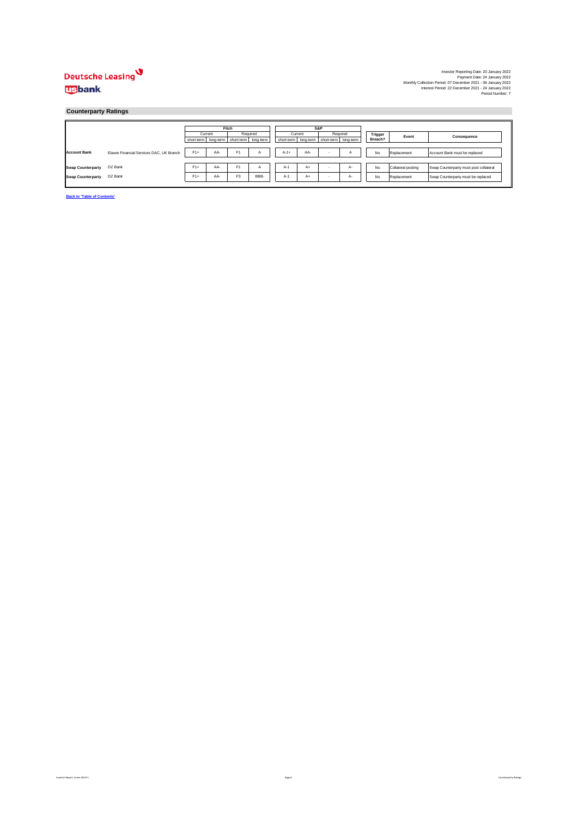### **Counterparty Ratings**

|                          |                                          |                                           | Fitch |                |              |        | S&P                                             |  |          |         |                    |                                        |  |  |  |  |  |  |  |  |  |  |  |  |  |  |       |             |
|--------------------------|------------------------------------------|-------------------------------------------|-------|----------------|--------------|--------|-------------------------------------------------|--|----------|---------|--------------------|----------------------------------------|--|--|--|--|--|--|--|--|--|--|--|--|--|--|-------|-------------|
|                          |                                          | Current                                   |       | Required       |              |        | Current                                         |  | Required | Trigger |                    |                                        |  |  |  |  |  |  |  |  |  |  |  |  |  |  | Event | Consequence |
|                          |                                          | short-term long-term short-term long-term |       |                |              |        | short-term   long-term   short-term   long-term |  |          | Breach? |                    |                                        |  |  |  |  |  |  |  |  |  |  |  |  |  |  |       |             |
|                          |                                          |                                           |       |                |              |        |                                                 |  |          |         |                    |                                        |  |  |  |  |  |  |  |  |  |  |  |  |  |  |       |             |
| <b>Account Bank</b>      | Elavon Financial Services DAC, UK Branch | $F1+$                                     | AA-   | F <sub>1</sub> | $\mathsf{A}$ | $A-1+$ | AA-                                             |  |          | No      | Replacement        | Account Bank must be replaced          |  |  |  |  |  |  |  |  |  |  |  |  |  |  |       |             |
|                          |                                          |                                           |       |                |              |        |                                                 |  |          |         |                    |                                        |  |  |  |  |  |  |  |  |  |  |  |  |  |  |       |             |
| <b>Swap Counterparty</b> | DZ Bank                                  | $F1+$                                     | AA-   | F <sub>1</sub> | A            | $A-1$  | $A+$                                            |  | А-       | No      | Collateral posting | Swap Counterparty must post collateral |  |  |  |  |  |  |  |  |  |  |  |  |  |  |       |             |
| <b>Swap Counterparty</b> | DZ Bank                                  | $F1+$                                     | AA-   | F <sub>3</sub> | BBB-         | $A-1$  | $A+$                                            |  | А-       | No      | Replacement        | Swap Counterparty must be replaced     |  |  |  |  |  |  |  |  |  |  |  |  |  |  |       |             |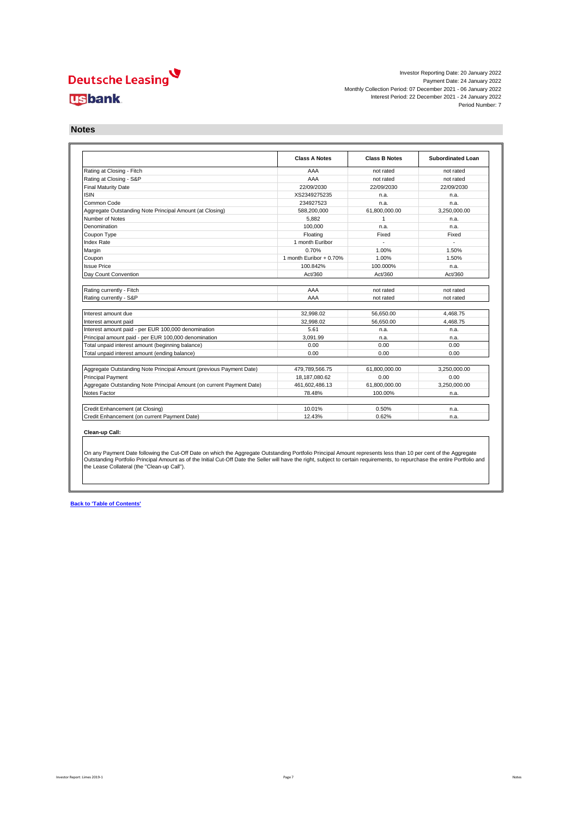Investor Reporting Date: 20 January 2022 Payment Date: 24 January 2022 Monthly Collection Period: 07 December 2021 - 06 January 2022 Interest Period: 22 December 2021 - 24 January 2022 Period Number: 7

**Notes**

|                                                                       | <b>Class A Notes</b>       | <b>Class B Notes</b> | <b>Subordinated Loan</b> |
|-----------------------------------------------------------------------|----------------------------|----------------------|--------------------------|
| Rating at Closing - Fitch                                             | AAA                        | not rated            | not rated                |
| Rating at Closing - S&P                                               | AAA                        | not rated            | not rated                |
| <b>Final Maturity Date</b>                                            | 22/09/2030                 | 22/09/2030           | 22/09/2030               |
| <b>ISIN</b>                                                           | XS2349275235               | n.a.                 | n.a.                     |
| Common Code                                                           | 234927523                  | n.a.                 | n.a.                     |
| Aggregate Outstanding Note Principal Amount (at Closing)              | 588.200.000                | 61.800.000.00        | 3.250.000.00             |
| Number of Notes                                                       | 5,882                      | $\mathbf{1}$         | n.a.                     |
| Denomination                                                          | 100.000                    | n.a.                 | n.a.                     |
| Coupon Type                                                           | Floating                   | Fixed                | Fixed                    |
| <b>Index Rate</b>                                                     | 1 month Euribor            |                      |                          |
| Margin                                                                | 0.70%                      | 1.00%                | 1.50%                    |
| Coupon                                                                | 1 month Euribor + $0.70\%$ | 1.00%                | 1.50%                    |
| <b>Issue Price</b>                                                    | 100.842%                   | 100.000%             | n.a.                     |
| Day Count Convention                                                  | Act/360                    | Act/360              | Act/360                  |
|                                                                       |                            |                      |                          |
| Rating currently - Fitch                                              | AAA                        | not rated            | not rated                |
| Rating currently - S&P                                                | AAA                        | not rated            | not rated                |
|                                                                       |                            |                      |                          |
| Interest amount due                                                   | 32.998.02                  | 56.650.00            | 4.468.75                 |
| Interest amount paid                                                  | 32.998.02                  | 56.650.00            | 4.468.75                 |
| Interest amount paid - per EUR 100,000 denomination                   | 5.61                       | n.a.                 | n.a.                     |
| Principal amount paid - per EUR 100,000 denomination                  | 3.091.99                   | n.a.                 | n.a.                     |
| Total unpaid interest amount (beginning balance)                      | 0.00                       | 0.00                 | 0.00                     |
| Total unpaid interest amount (ending balance)                         | 0.00                       | 0.00                 | 0.00                     |
|                                                                       |                            |                      |                          |
|                                                                       | 479,789,566.75             | 61,800,000.00        | 3,250,000.00             |
| Aggregate Outstanding Note Principal Amount (previous Payment Date)   |                            |                      | 0.00                     |
| Principal Payment                                                     | 18,187,080.62              | 0.00                 |                          |
| Aggregate Outstanding Note Principal Amount (on current Payment Date) | 461.602.486.13             | 61,800,000.00        | 3.250.000.00             |
|                                                                       | 78.48%                     | 100.00%              | n.a.                     |
| Notes Factor<br>Credit Enhancement (at Closing)                       | 10.01%                     | 0.50%                | n.a.                     |

On any Payment Date following the Cut-Off Date on which the Aggregate Outstanding Portfolio Principal Amount represents less than 10 per cent of the Aggregate<br>Outstanding Portfolio Principal Amount as of the Initial Cut-O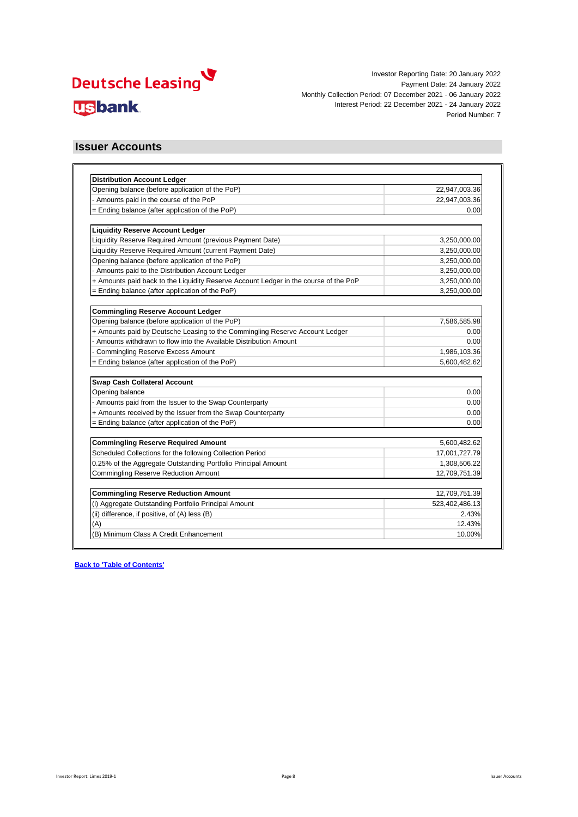

### **Issuer Accounts**

| <b>Distribution Account Ledger</b>                                                                      |                               |
|---------------------------------------------------------------------------------------------------------|-------------------------------|
| Opening balance (before application of the PoP)                                                         | 22,947,003.36                 |
| - Amounts paid in the course of the PoP                                                                 | 22,947,003.36                 |
| = Ending balance (after application of the PoP)                                                         | 0.00                          |
| <b>Liquidity Reserve Account Ledger</b>                                                                 |                               |
| Liquidity Reserve Required Amount (previous Payment Date)                                               | 3,250,000.00                  |
| Liquidity Reserve Required Amount (current Payment Date)                                                | 3,250,000.00                  |
| Opening balance (before application of the PoP)                                                         | 3,250,000.00                  |
| - Amounts paid to the Distribution Account Ledger                                                       | 3,250,000.00                  |
| + Amounts paid back to the Liquidity Reserve Account Ledger in the course of the PoP                    | 3,250,000.00                  |
| = Ending balance (after application of the PoP)                                                         | 3,250,000.00                  |
| <b>Commingling Reserve Account Ledger</b>                                                               |                               |
| Opening balance (before application of the PoP)                                                         | 7,586,585.98                  |
| + Amounts paid by Deutsche Leasing to the Commingling Reserve Account Ledger                            | 0.00                          |
| - Amounts withdrawn to flow into the Available Distribution Amount                                      | 0.00                          |
| <b>Commingling Reserve Excess Amount</b>                                                                | 1,986,103.36                  |
| = Ending balance (after application of the PoP)                                                         | 5,600,482.62                  |
| Swap Cash Collateral Account                                                                            |                               |
| Opening balance                                                                                         | 0.00                          |
| - Amounts paid from the Issuer to the Swap Counterparty                                                 | 0.00                          |
| + Amounts received by the Issuer from the Swap Counterparty                                             | 0.00                          |
| = Ending balance (after application of the PoP)                                                         | 0.00                          |
|                                                                                                         |                               |
| <b>Commingling Reserve Required Amount</b><br>Scheduled Collections for the following Collection Period | 5,600,482.62<br>17,001,727.79 |
|                                                                                                         | 1,308,506.22                  |
| 0.25% of the Aggregate Outstanding Portfolio Principal Amount                                           |                               |
| <b>Commingling Reserve Reduction Amount</b>                                                             | 12,709,751.39                 |
| <b>Commingling Reserve Reduction Amount</b>                                                             | 12,709,751.39                 |
| (i) Aggregate Outstanding Portfolio Principal Amount                                                    | 523,402,486.13                |
| (ii) difference, if positive, of (A) less (B)                                                           | 2.43%                         |
| (A)                                                                                                     | 12.43%                        |
| (B) Minimum Class A Credit Enhancement                                                                  | 10.00%                        |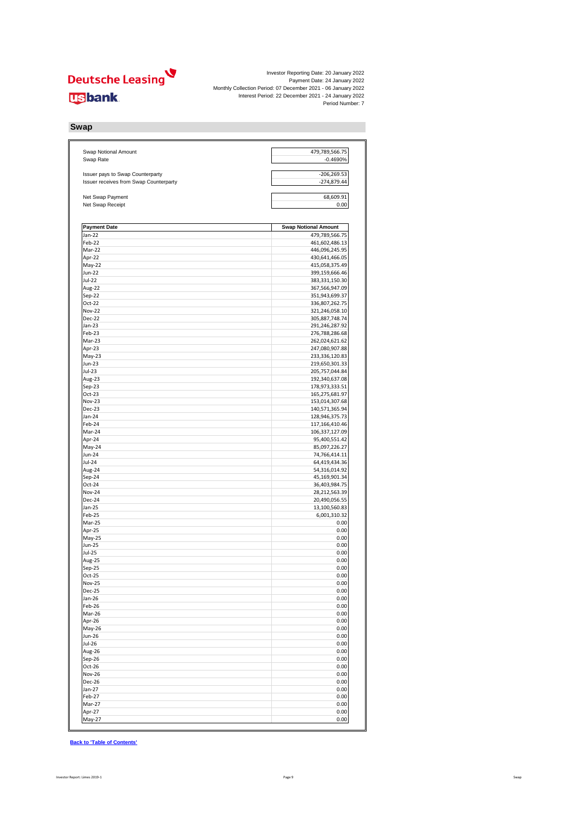

**Swap**

| Swap Notional Amount<br>Swap Rate      | 479,789,566.75<br>$-0.4690%$     |
|----------------------------------------|----------------------------------|
| Issuer pays to Swap Counterparty       | $-206,269.53$                    |
| Issuer receives from Swap Counterparty | $-274,879.44$                    |
| Net Swap Payment                       | 68,609.91                        |
| Net Swap Receipt                       | 0.00                             |
| <b>Payment Date</b>                    | <b>Swap Notional Amount</b>      |
| Jan-22                                 | 479,789,566.75                   |
| Feb-22                                 | 461,602,486.13                   |
| Mar-22<br>Apr-22                       | 446,096,245.95<br>430,641,466.05 |
| May-22                                 | 415,058,375.49                   |
| Jun-22                                 | 399,159,666.46                   |
| Jul-22                                 | 383,331,150.30                   |
| Aug-22                                 | 367,566,947.09                   |
| Sep-22                                 | 351,943,699.37                   |
| Oct-22                                 | 336,807,262.75                   |
| <b>Nov-22</b>                          | 321,246,058.10                   |
| Dec-22<br>$Jan-23$                     | 305,887,748.74                   |
| Feb-23                                 | 291,246,287.92<br>276,788,286.68 |
| Mar-23                                 | 262,024,621.62                   |
| Apr-23                                 | 247,080,907.88                   |
| May-23                                 | 233,336,120.83                   |
| Jun-23                                 | 219,650,301.33                   |
| Jul-23                                 | 205,757,044.84                   |
| Aug-23                                 | 192,340,637.08                   |
| $Sep-23$                               | 178,973,333.51                   |
| Oct-23<br><b>Nov-23</b>                | 165,275,681.97<br>153,014,307.68 |
| <b>Dec-23</b>                          | 140,571,365.94                   |
| Jan-24                                 | 128,946,375.73                   |
| Feb-24                                 | 117,166,410.46                   |
| Mar-24                                 | 106,337,127.09                   |
| Apr-24                                 | 95,400,551.42                    |
| May-24                                 | 85,097,226.27                    |
| Jun-24                                 | 74,766,414.11                    |
| Jul-24<br>Aug-24                       | 64,419,434.36<br>54,316,014.92   |
| Sep-24                                 | 45,169,901.34                    |
| Oct-24                                 | 36,403,984.75                    |
| Nov-24                                 | 28,212,563.39                    |
| Dec-24                                 | 20,490,056.55                    |
| Jan-25                                 | 13,100,560.83                    |
| Feb-25                                 | 6,001,310.32                     |
| Mar-25                                 | 0.00<br>0.00                     |
| Apr-25<br>May-25                       | 0.00                             |
| Jun-25                                 | 0.00                             |
| Jul-25                                 | 0.00                             |
| Aug-25                                 | 0.00                             |
| Sep-25                                 | 0.00                             |
| Oct-25                                 | 0.00                             |
| Nov-25                                 | 0.00                             |
| Dec-25                                 | 0.00                             |
| $Jan-26$<br>Feb-26                     | 0.00<br>0.00                     |
| Mar-26                                 | 0.00                             |
| Apr-26                                 | 0.00                             |
| May-26                                 | 0.00                             |
| Jun-26                                 | 0.00                             |
| Jul-26                                 | 0.00                             |
| Aug-26                                 | 0.00                             |
| Sep-26                                 | 0.00                             |
| Oct-26                                 | 0.00                             |
| <b>Nov-26</b><br><b>Dec-26</b>         | 0.00<br>0.00                     |
| $Jan-27$                               | 0.00                             |
| Feb-27                                 | 0.00                             |
| Mar-27                                 | 0.00                             |
| Apr-27                                 | 0.00                             |
| May-27                                 | 0.00                             |
|                                        |                                  |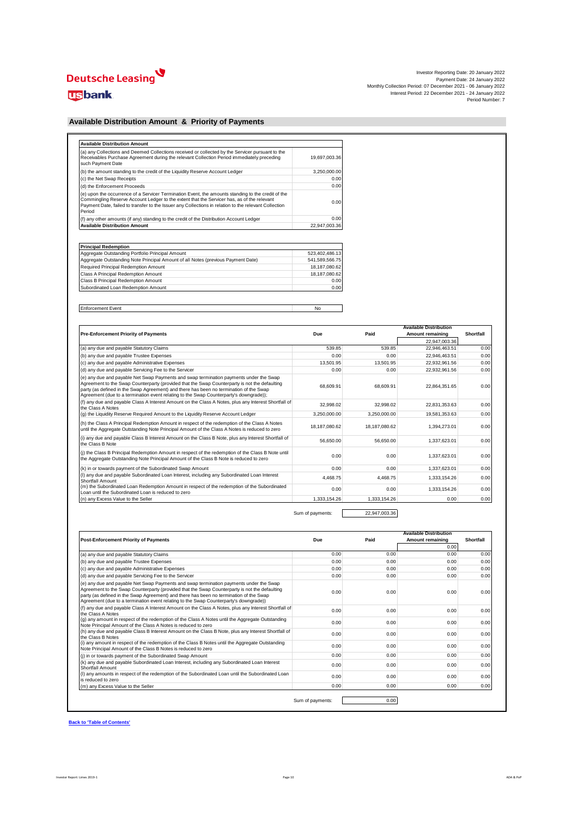## Deutsche Leasing

## **usbank**

| Investor Reporting Date: 20 January 2022                      |  |
|---------------------------------------------------------------|--|
| Payment Date: 24 January 2022                                 |  |
| Monthly Collection Period: 07 December 2021 - 06 January 2022 |  |
| Interest Period: 22 December 2021 - 24 January 2022           |  |
| Period Number: 7                                              |  |

### **Available Distribution Amount & Priority of Payments**

| <b>Available Distribution Amount</b>                                                                                                                                                                                                                                                                                |               |
|---------------------------------------------------------------------------------------------------------------------------------------------------------------------------------------------------------------------------------------------------------------------------------------------------------------------|---------------|
| (a) any Collections and Deemed Collections received or collected by the Servicer pursuant to the<br>Receivables Purchase Agreement during the relevant Collection Period immediately preceding<br>such Payment Date                                                                                                 | 19.697.003.36 |
| (b) the amount standing to the credit of the Liquidity Reserve Account Ledger                                                                                                                                                                                                                                       | 3.250.000.00  |
| (c) the Net Swap Receipts                                                                                                                                                                                                                                                                                           | 0.00          |
| (d) the Enforcement Proceeds                                                                                                                                                                                                                                                                                        | 0.00          |
| (e) upon the occurrence of a Servicer Termination Event, the amounts standing to the credit of the<br>Commingling Reserve Account Ledger to the extent that the Servicer has, as of the relevant<br>Payment Date, failed to transfer to the Issuer any Collections in relation to the relevant Collection<br>Period | 0.00          |
| (f) any other amounts (if any) standing to the credit of the Distribution Account Ledger                                                                                                                                                                                                                            | 0.00          |
| <b>Available Distribution Amount</b>                                                                                                                                                                                                                                                                                | 22,947,003.36 |

| <b>Principal Redemption</b>                                                      |                |
|----------------------------------------------------------------------------------|----------------|
| Aggregate Outstanding Portfolio Principal Amount                                 | 523.402.486.13 |
| Aggregate Outstanding Note Principal Amount of all Notes (previous Payment Date) | 541.589.566.75 |
| Required Principal Redemption Amount                                             | 18.187.080.62  |
| Class A Principal Redemption Amount                                              | 18.187.080.62  |
| Class B Principal Redemption Amount                                              | 0.00           |
| Subordinated Loan Redemption Amount                                              | 0.00           |

Enforcement Event No

| <b>Pre-Enforcement Priority of Payments</b>                                                                                                                                                                                                                                                                                                                                 | Due           | Paid          | <b>Available Distribution</b><br>Amount remaining | Shortfall |
|-----------------------------------------------------------------------------------------------------------------------------------------------------------------------------------------------------------------------------------------------------------------------------------------------------------------------------------------------------------------------------|---------------|---------------|---------------------------------------------------|-----------|
|                                                                                                                                                                                                                                                                                                                                                                             |               |               | 22.947.003.36                                     |           |
| (a) any due and payable Statutory Claims                                                                                                                                                                                                                                                                                                                                    | 539.85        | 539.85        | 22.946.463.51                                     | 0.00      |
| (b) any due and payable Trustee Expenses                                                                                                                                                                                                                                                                                                                                    | 0.00          | 0.00          | 22,946,463.51                                     | 0.00      |
| (c) any due and payable Administrative Expenses                                                                                                                                                                                                                                                                                                                             | 13.501.95     | 13.501.95     | 22,932,961.56                                     | 0.00      |
| (d) any due and payable Servicing Fee to the Servicer                                                                                                                                                                                                                                                                                                                       | 0.00          | 0.00          | 22.932.961.56                                     | 0.00      |
| (e) any due and payable Net Swap Payments and swap termination payments under the Swap<br>Agreement to the Swap Counterparty (provided that the Swap Counterparty is not the defaulting<br>party (as defined in the Swap Agreement) and there has been no termination of the Swap<br>Agreement (due to a termination event relating to the Swap Counterparty's downgrade)); | 68.609.91     | 68,609.91     | 22,864,351.65                                     | 0.00      |
| (f) any due and payable Class A Interest Amount on the Class A Notes, plus any Interest Shortfall of<br>the Class A Notes                                                                                                                                                                                                                                                   | 32.998.02     | 32.998.02     | 22,831,353.63                                     | 0.00      |
| (q) the Liquidity Reserve Required Amount to the Liquidity Reserve Account Ledger                                                                                                                                                                                                                                                                                           | 3.250.000.00  | 3.250.000.00  | 19,581,353.63                                     | 0.00      |
| (h) the Class A Principal Redemption Amount in respect of the redemption of the Class A Notes<br>until the Aggregate Outstanding Note Principal Amount of the Class A Notes is reduced to zero                                                                                                                                                                              | 18,187,080.62 | 18.187.080.62 | 1,394,273.01                                      | 0.00      |
| (i) any due and payable Class B Interest Amount on the Class B Note, plus any Interest Shortfall of<br>the Class B Note                                                                                                                                                                                                                                                     | 56.650.00     | 56.650.00     | 1,337,623.01                                      | 0.00      |
| (i) the Class B Principal Redemption Amount in respect of the redemption of the Class B Note until<br>the Aggregate Outstanding Note Principal Amount of the Class B Note is reduced to zero                                                                                                                                                                                | 0.00          | 0.00          | 1,337,623.01                                      | 0.00      |
| (k) in or towards payment of the Subordinated Swap Amount                                                                                                                                                                                                                                                                                                                   | 0.00          | 0.00          | 1.337.623.01                                      | 0.00      |
| (I) any due and payable Subordinated Loan Interest, including any Subordinated Loan Interest<br>Shortfall Amount                                                                                                                                                                                                                                                            | 4.468.75      | 4.468.75      | 1,333,154.26                                      | 0.00      |
| (m) the Subordinated Loan Redemption Amount in respect of the redemption of the Subordinated<br>Loan until the Subordinated Loan is reduced to zero                                                                                                                                                                                                                         | 0.00          | 0.00          | 1,333,154.26                                      | 0.00      |
| (n) any Excess Value to the Seller                                                                                                                                                                                                                                                                                                                                          | 1.333.154.26  | 1.333.154.26  | 0.00                                              | 0.00      |

Sum of payments: 22,947,003.36

| 0.00<br>0.00 | 0.00             | 0.00 |      |
|--------------|------------------|------|------|
|              |                  |      |      |
|              |                  | 0.00 | 0.00 |
|              | 0.00             | 0.00 | 0.00 |
| 0.00         | 0.00             | 0.00 | 0.00 |
| 0.00         | 0.00             | 0.00 | 0.00 |
| 0.00         | 0.00             | 0.00 | 0.00 |
| 0.00         | 0.00             | 0.00 | 0.00 |
| 0.00         | 0.00             | 0.00 | 0.00 |
| 0.00         | 0.00             | 0.00 | 0.00 |
| 0.00         | 0.00             | 0.00 | 0.00 |
| 0.00         | 0.00             | 0.00 | 0.00 |
| 0.00         | 0.00             | 0.00 | 0.00 |
| 0.00         | 0.00             | 0.00 | 0.00 |
| 0.00         | 0.00             | 0.00 | 0.00 |
|              |                  |      |      |
|              | Sum of payments: | 0.00 |      |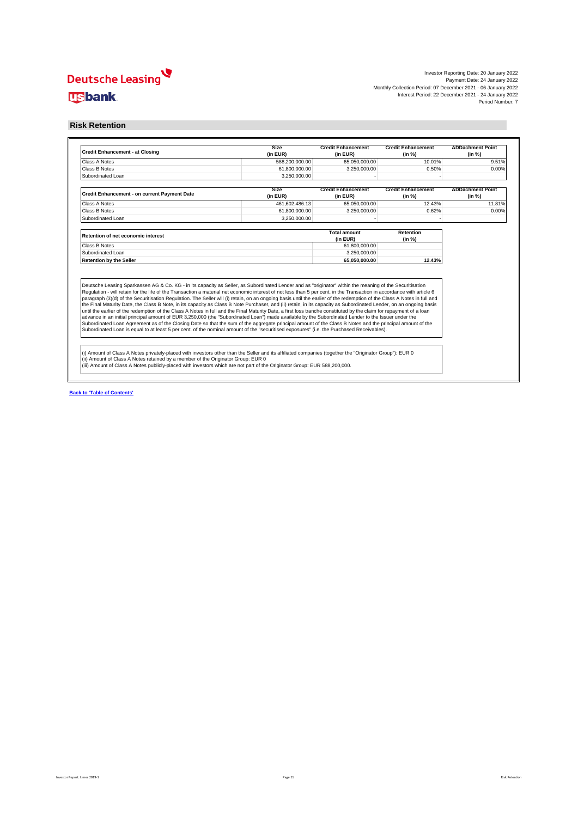Investor Reporting Date: 20 January 2022 Payment Date: 24 January 2022 Monthly Collection Period: 07 December 2021 - 06 January 2022 Interest Period: 22 December 2021 - 24 January 2022 Period Number: 7

### **Risk Retention**

| <b>Credit Enhancement - at Closing</b>                                                                                                                                                                                                                                                                                                                                                                                                                                                                                                                                                                                                                                                                                                                                                                     | <b>Size</b><br>(in EUR) | <b>Credit Enhancement</b><br>(in EUR) | <b>Credit Enhancement</b><br>(in %) | <b>ADDachment Point</b><br>(in %) |
|------------------------------------------------------------------------------------------------------------------------------------------------------------------------------------------------------------------------------------------------------------------------------------------------------------------------------------------------------------------------------------------------------------------------------------------------------------------------------------------------------------------------------------------------------------------------------------------------------------------------------------------------------------------------------------------------------------------------------------------------------------------------------------------------------------|-------------------------|---------------------------------------|-------------------------------------|-----------------------------------|
| Class A Notes                                                                                                                                                                                                                                                                                                                                                                                                                                                                                                                                                                                                                                                                                                                                                                                              | 588.200.000.00          | 65,050,000.00                         | 10.01%                              | 9.51%                             |
| Class B Notes                                                                                                                                                                                                                                                                                                                                                                                                                                                                                                                                                                                                                                                                                                                                                                                              | 61.800.000.00           | 3.250.000.00                          | 0.50%                               | 0.00%                             |
| Subordinated Loan                                                                                                                                                                                                                                                                                                                                                                                                                                                                                                                                                                                                                                                                                                                                                                                          | 3.250.000.00            |                                       |                                     |                                   |
|                                                                                                                                                                                                                                                                                                                                                                                                                                                                                                                                                                                                                                                                                                                                                                                                            | Size                    | <b>Credit Enhancement</b>             | <b>Credit Enhancement</b>           | <b>ADDachment Point</b>           |
| Credit Enhancement - on current Payment Date                                                                                                                                                                                                                                                                                                                                                                                                                                                                                                                                                                                                                                                                                                                                                               | (in EUR)                | (in EUR)                              | (in %)                              | (in %)                            |
| Class A Notes                                                                                                                                                                                                                                                                                                                                                                                                                                                                                                                                                                                                                                                                                                                                                                                              | 461.602.486.13          | 65.050.000.00                         | 12.43%                              | 11.81%                            |
| Class B Notes                                                                                                                                                                                                                                                                                                                                                                                                                                                                                                                                                                                                                                                                                                                                                                                              | 61.800.000.00           | 3.250.000.00                          | 0.62%                               | 0.00%                             |
| Subordinated Loan                                                                                                                                                                                                                                                                                                                                                                                                                                                                                                                                                                                                                                                                                                                                                                                          | 3.250.000.00            |                                       |                                     |                                   |
| <b>Retention of net economic interest</b>                                                                                                                                                                                                                                                                                                                                                                                                                                                                                                                                                                                                                                                                                                                                                                  |                         | <b>Total amount</b><br>(in EUR)       | Retention<br>(in %)                 |                                   |
| Class B Notes                                                                                                                                                                                                                                                                                                                                                                                                                                                                                                                                                                                                                                                                                                                                                                                              |                         | 61,800,000.00                         |                                     |                                   |
| Subordinated Loan                                                                                                                                                                                                                                                                                                                                                                                                                                                                                                                                                                                                                                                                                                                                                                                          |                         | 3.250.000.00                          |                                     |                                   |
| <b>Retention by the Seller</b>                                                                                                                                                                                                                                                                                                                                                                                                                                                                                                                                                                                                                                                                                                                                                                             |                         | 65.050.000.00                         | 12.43%                              |                                   |
| Deutsche Leasing Sparkassen AG & Co. KG - in its capacity as Seller, as Subordinated Lender and as "originator" within the meaning of the Securitisation<br>Regulation - will retain for the life of the Transaction a material net economic interest of not less than 5 per cent. in the Transaction in accordance with article 6<br>paragraph (3)(d) of the Securitisation Regulation. The Seller will (i) retain, on an ongoing basis until the earlier of the redemption of the Class A Notes in full and                                                                                                                                                                                                                                                                                              |                         |                                       |                                     |                                   |
| the Final Maturity Date, the Class B Note, in its capacity as Class B Note Purchaser, and (ii) retain, in its capacity as Subordinated Lender, on an ongoing basis<br>until the earlier of the redemption of the Class A Notes in full and the Final Maturity Date, a first loss tranche constituted by the claim for repayment of a loan<br>advance in an initial principal amount of EUR 3,250,000 (the "Subordinated Loan") made available by the Subordinated Lender to the Issuer under the<br>Subordinated Loan Agreement as of the Closing Date so that the sum of the aggregate principal amount of the Class B Notes and the principal amount of the<br>Subordinated Loan is equal to at least 5 per cent. of the nominal amount of the "securitised exposures" (i.e. the Purchased Receivables). |                         |                                       |                                     |                                   |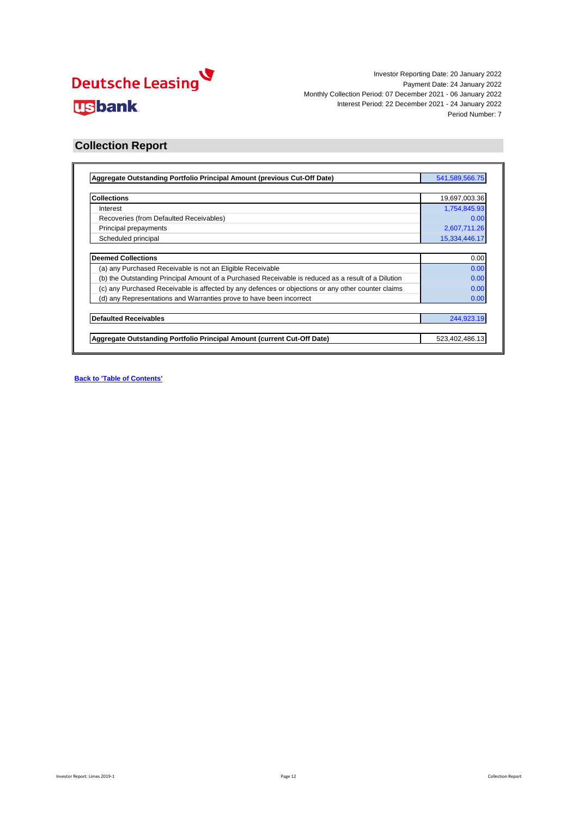

### **Collection Report**

| Aggregate Outstanding Portfolio Principal Amount (previous Cut-Off Date)                            | 541,589,566.75 |
|-----------------------------------------------------------------------------------------------------|----------------|
|                                                                                                     |                |
| <b>Collections</b>                                                                                  | 19,697,003.36  |
| Interest                                                                                            | 1,754,845.93   |
| Recoveries (from Defaulted Receivables)                                                             | 0.00           |
| Principal prepayments                                                                               | 2,607,711.26   |
| Scheduled principal                                                                                 | 15,334,446.17  |
|                                                                                                     |                |
| <b>Deemed Collections</b>                                                                           | 0.00           |
| (a) any Purchased Receivable is not an Eligible Receivable                                          | 0.00           |
| (b) the Outstanding Principal Amount of a Purchased Receivable is reduced as a result of a Dilution | 0.00           |
| (c) any Purchased Receivable is affected by any defences or objections or any other counter claims  | 0.00           |
| (d) any Representations and Warranties prove to have been incorrect                                 | 0.00           |
| <b>Defaulted Receivables</b>                                                                        | 244,923.19     |
|                                                                                                     |                |
| Aggregate Outstanding Portfolio Principal Amount (current Cut-Off Date)                             | 523,402,486.13 |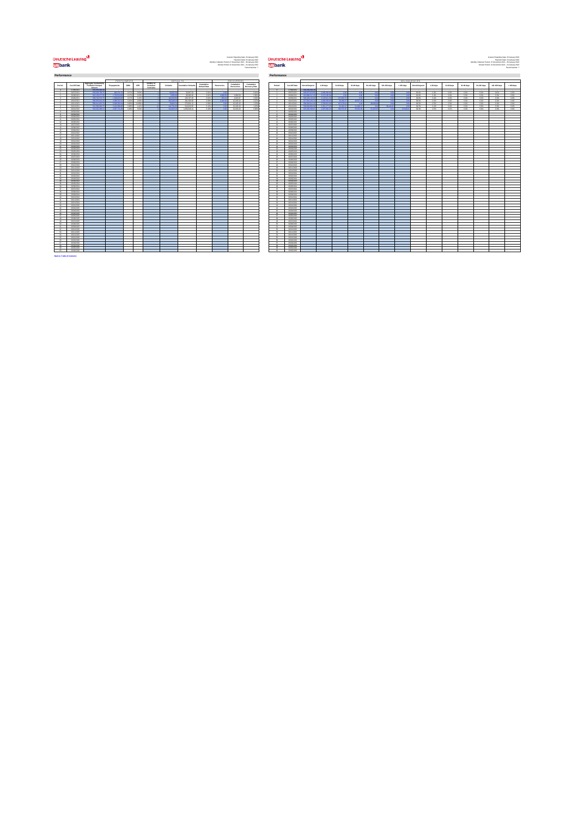## <mark>لا</mark><br>لايتا Usbank

Investor Reporting Date: 20 January 2022 Investor Reporting Date: 20 January 2022 Payment Date: 24 January 2022 Payment Date: 24 January 2022 Monthly Collection Period: 07 December 2021 - 06 January 2022 Monthly Collection Period: 07 December 2021 - 06 January 2022 Interest Period: 22 December 2021 - 24 January 2022 Interest Period: 22 December 2021 - 24 January 2022 Period Number: 7 Period Number: 7

|  | EVERAL PASSAGE MAIN 450 AMERICA ANGL                            |  |  |
|--|-----------------------------------------------------------------|--|--|
|  | Payment Date: 24 January 2022                                   |  |  |
|  | ction Period: 07 December 2021 - 06 January 2022                |  |  |
|  | comes Presidents (All Presidente deliber - Cui, Indonesia (ANA) |  |  |

| Performance                 |                          |                                                     |                |                |                 |                        |                 |                            |                                   |              |                          |                                    | Performance                      |                               |                                  |                               |                  |               |             |              |               |              |
|-----------------------------|--------------------------|-----------------------------------------------------|----------------|----------------|-----------------|------------------------|-----------------|----------------------------|-----------------------------------|--------------|--------------------------|------------------------------------|----------------------------------|-------------------------------|----------------------------------|-------------------------------|------------------|---------------|-------------|--------------|---------------|--------------|
|                             |                          |                                                     | PREPAYMENTS    |                |                 |                        | <b>DEFAULTS</b> |                            |                                   |              | RECOVERIES               |                                    |                                  |                               |                                  |                               |                  |               |             |              | DELINQUENCIE: |              |
| Period                      | Cut-Off Date             | <b>Aggregate Outstanding</b><br>Portfolio Principal | Progayments    | SMM            | CPR             | Number of<br>Defaulted | <b>Detaults</b> | <b>Cumulative Defaults</b> | Cumulative<br><b>Default Rate</b> | Recoveries   | Cumulative<br>Recoveries | Cumulative<br><b>Recovery Rate</b> | Period                           | Cus-Off Date                  | Not delinquent                   | 1-33 days                     | 21-60 days       | 41-90 days    | 91-120 days | 121-150 days | $> 150$ days  | Not delia    |
| - 6                         | <b>ATENADOR</b>          | 449-998-998                                         |                |                |                 |                        |                 |                            |                                   |              |                          |                                    |                                  | conscious.                    | <b>CAN GON GOOD</b>              |                               |                  |               |             |              |               |              |
| 14.                         | newprones                | 439,639,268                                         | <b>ANA WAY</b> | 0.025          | oxin            |                        | <b>CEANS</b>    | 50,087.00                  | AAH                               |              |                          | 0.006                              | $\sim$                           | nunzmen+                      | <b>ANNAN ANN</b>                 | 349.044                       |                  |               |             |              |               | $-99.6$      |
| $\overline{ }$              | 06/08/2021               | 616.158.377.0                                       | 1799 6344      | 0.27%          | 3.22%           |                        | 14,000.00       | 66,090.39                  | east                              | 36010        | 199959                   | 5.80%                              | $\rightarrow$                    | 0608/2021                     | CASEGO OVER                      | 2272100.30                    | $\overline{4N}$  | $\sim$        | 6W          |              |               | $^{10.6}$    |
|                             | 06/09/2021               | <b>SM 740 SP</b>                                    | 1009051        | 0.27           | 2.15%           |                        | 44.444          | 200,707.28                 | <b>GMN</b>                        |              | 4.822.87                 | 2.09%                              |                                  | 06/09/2021                    | 100.469.132                      | 0.000000                      | 122,822.76       |               |             |              |               | 98.6         |
| $\sim$                      | 06/10/2021<br>06/11/2021 | 559,411,637.7                                       | 5.546.523.14   | 0.40%<br>0.96% | 4,693<br>10,89% |                        | 79.924.7        | 491,006.38<br>670,831.12   | 0.08%<br>O.DRS                    | conc<br>0.00 | 10.165.43<br>10,165.43   | 2.07%<br>1,79%                     | $\sim$                           | 09/10/2021<br>09/11/2021      | <b>OT CAN ON</b><br>559-454-6112 | <b>GALLAND</b><br>2790,611.08 | 127.179.54       | $\sim$        | 29.236.39   | 000          |               | 99.0<br>99.9 |
| $\ddot{\phantom{1}}$        | 06/12/2021               | Set Site Site                                       | 0.554,000      | 0.999          | 4.4%            |                        | 0497641         | 913.622.95                 | 0.12%                             |              | 10.165.43                | 1295                               | - 6                              | 09122021                      | <b>Stanley Arts</b>              | 2265.177.20                   | 66/609-90        | 64,646,74     |             | in exer      |               | $^{48.1}$    |
| $\rightarrow$               | new new                  | <b>CO AVEAM 1</b>                                   | 9407391        | A 49%          | con             |                        | 0449994         | 1.069.549.14               | O SIDE                            |              | 10,306.43                | AGON.                              | $\rightarrow$                    | 0601902                       | 655 955 956                      | 10070019                      | <b>Vid Child</b> | <b>GASYNE</b> | 54,000.00   |              |               | 19.4         |
| $\mathbf{r}$                | namennos                 |                                                     |                |                |                 |                        |                 |                            |                                   |              |                          |                                    |                                  | 06/02/2022                    |                                  |                               |                  |               |             |              |               |              |
| $\sim$                      | 06/03/2022               |                                                     |                |                |                 |                        |                 |                            |                                   |              |                          |                                    |                                  | 06/03/2022                    |                                  |                               |                  |               |             |              |               |              |
| 10                          | 06/06/2022               |                                                     |                |                |                 |                        |                 |                            |                                   |              |                          |                                    | 50                               | 06/04/2022                    |                                  |                               |                  |               |             |              |               |              |
| 11 <sup>1</sup>             | 06/06/2022               |                                                     |                |                |                 |                        |                 |                            |                                   |              |                          |                                    | 11                               | 06/05/2022                    |                                  |                               |                  |               |             |              |               |              |
| 12                          | 06/06/2022               |                                                     |                |                |                 |                        |                 |                            |                                   |              |                          |                                    | 12                               | 06/06/2022                    |                                  |                               |                  |               |             |              |               |              |
| $-15$                       | ourcrosss                |                                                     |                |                |                 |                        |                 |                            |                                   |              |                          |                                    | 12                               | 06/07/2022                    |                                  |                               |                  |               |             |              |               |              |
| $\overline{M}$              | 06/08/2022               |                                                     |                |                |                 |                        |                 |                            |                                   |              |                          |                                    | $\overline{M}$                   | 06/08/2022                    |                                  |                               |                  |               |             |              |               |              |
| $\overline{\phantom{a}}$    | 06/09/2022               |                                                     |                |                |                 |                        |                 |                            |                                   |              |                          |                                    | $\alpha$                         | 06/09/2022                    |                                  |                               |                  |               |             |              |               |              |
| 16                          | 06/10/2022               |                                                     |                |                |                 |                        |                 |                            |                                   |              |                          |                                    | 19                               | 09/10/2022                    |                                  |                               |                  |               |             |              |               |              |
| 17                          | 06/11/2022               |                                                     |                |                |                 |                        |                 |                            |                                   |              |                          |                                    | 17                               | 09/11/2022                    |                                  |                               |                  |               |             |              |               |              |
| 18                          | 06/12/2022               |                                                     |                |                |                 |                        |                 |                            |                                   |              |                          |                                    | 18                               | 09/12/2022<br>06012023        |                                  |                               |                  |               |             |              |               |              |
| 19<br>A6                    | 06/01/2023               |                                                     |                |                |                 |                        |                 |                            |                                   |              |                          |                                    | 19<br>$\sim$                     |                               |                                  |                               |                  |               |             |              |               |              |
| $\overline{M}$              | 06/02/2023<br>06/03/2023 |                                                     |                |                |                 |                        |                 |                            |                                   |              |                          |                                    | 44.                              | 06/02/2023<br>06/03/2023      |                                  |                               |                  |               |             |              |               |              |
| 22                          | 06/06/2023               |                                                     |                |                |                 |                        |                 |                            |                                   |              |                          |                                    | 22                               | 06/04/2023                    |                                  |                               |                  |               |             |              |               |              |
| 22                          | 06/05/2023               |                                                     |                |                |                 |                        |                 |                            |                                   |              |                          |                                    | 22                               | 06/05/2023                    |                                  |                               |                  |               |             |              |               |              |
| 24                          | 06/06/2023               |                                                     |                |                |                 |                        |                 |                            |                                   |              |                          |                                    | 24                               | 06/06/2023                    |                                  |                               |                  |               |             |              |               |              |
| $\infty$                    | 06/07/2023               |                                                     |                |                |                 |                        |                 |                            |                                   |              |                          |                                    |                                  | 06072022                      |                                  |                               |                  |               |             |              |               |              |
| $^{46}$                     | 06/08/2023               |                                                     |                |                |                 |                        |                 |                            |                                   |              |                          |                                    |                                  | 06/06/2023                    |                                  |                               |                  |               |             |              |               |              |
| $\overline{x}$              | 06/09/2023               |                                                     |                |                |                 |                        |                 |                            |                                   |              |                          |                                    | 27                               | 06/09/2023                    |                                  |                               |                  |               |             |              |               |              |
| 28                          | 06/10/2022               |                                                     |                |                |                 |                        |                 |                            |                                   |              |                          |                                    | 28                               | 09/10/2023                    |                                  |                               |                  |               |             |              |               |              |
| 29                          | 06/11/2023               |                                                     |                |                |                 |                        |                 |                            |                                   |              |                          |                                    | -99                              | 09/11/2023                    |                                  |                               |                  |               |             |              |               |              |
| 20                          | 06/12/2023               |                                                     |                |                |                 |                        |                 |                            |                                   |              |                          |                                    | 20                               | 09/12/2023                    |                                  |                               |                  |               |             |              |               |              |
| dia.                        | <b>GENERAL</b>           |                                                     |                |                |                 |                        |                 |                            |                                   |              |                          |                                    |                                  | 06/01/2024                    |                                  |                               |                  |               |             |              |               |              |
| $^{46}$                     | nemoranou                |                                                     |                |                |                 |                        |                 |                            |                                   |              |                          |                                    |                                  | 06/02/2024                    |                                  |                               |                  |               |             |              |               |              |
| 22                          | 06/03/2024               |                                                     |                |                |                 |                        |                 |                            |                                   |              |                          |                                    | 22                               | 06/03/2024                    |                                  |                               |                  |               |             |              |               |              |
| 24<br>26                    | 06/06/2024<br>06/05/2024 |                                                     |                |                |                 |                        |                 |                            |                                   |              |                          |                                    | 34<br>36                         | 06/04/2024<br>06/05/2024      |                                  |                               |                  |               |             |              |               |              |
| $\overline{\mathcal{L}}$    | nemeranou                |                                                     |                |                |                 |                        |                 |                            |                                   |              |                          |                                    |                                  | 06/06/2024                    |                                  |                               |                  |               |             |              |               |              |
| $\overline{w}$              | <b>GENEVATOR</b>         |                                                     |                |                |                 |                        |                 |                            |                                   |              |                          |                                    | A3                               | 06/07/2004                    |                                  |                               |                  |               |             |              |               |              |
| ×                           | 06/08/2024               |                                                     |                |                |                 |                        |                 |                            |                                   |              |                          |                                    | 28                               | 06/08/2024                    |                                  |                               |                  |               |             |              |               |              |
| 16                          | 06/09/2024               |                                                     |                |                |                 |                        |                 |                            |                                   |              |                          |                                    | 19                               | 06/09/2024                    |                                  |                               |                  |               |             |              |               |              |
| -sh                         | 06/10/2024               |                                                     |                |                |                 |                        |                 |                            |                                   |              |                          |                                    | -AD                              | 09/10/2024                    |                                  |                               |                  |               |             |              |               |              |
| 41                          | 06/11/2024               |                                                     |                |                |                 |                        |                 |                            |                                   |              |                          |                                    | 41                               | 09/11/2024                    |                                  |                               |                  |               |             |              |               |              |
| $\mathcal{L}$               | nervicence               |                                                     |                |                |                 |                        |                 |                            |                                   |              |                          |                                    | $\rightarrow$                    | <b>GrySting</b>               |                                  |                               |                  |               |             |              |               |              |
| <b>AS</b>                   | new rese                 |                                                     |                |                |                 |                        |                 |                            |                                   |              |                          |                                    | $\rightarrow$                    | 06010001                      |                                  |                               |                  |               |             |              |               |              |
| 44                          | 06/02/2025               |                                                     |                |                |                 |                        |                 |                            |                                   |              |                          |                                    | 44                               | 06/02/2025                    |                                  |                               |                  |               |             |              |               |              |
|                             | 06/03/2025               |                                                     |                |                |                 |                        |                 |                            |                                   |              |                          |                                    |                                  | 06/03/2021                    |                                  |                               |                  |               |             |              |               |              |
| $^{46}$                     | 06/06/2026               |                                                     |                |                |                 |                        |                 |                            |                                   |              |                          |                                    | 46                               | 06/04/2025                    |                                  |                               |                  |               |             |              |               |              |
| $\sigma$<br>$\sim$          | 06/05/2026<br>nemerance  |                                                     |                |                |                 |                        |                 |                            |                                   |              |                          |                                    | $\overline{a}$<br>$\overline{a}$ | 0605/2025<br><b>GENERATOR</b> |                                  |                               |                  |               |             |              |               |              |
| ÷                           | 06/07/2026               |                                                     |                |                |                 |                        |                 |                            |                                   |              |                          |                                    | $\overline{a}$                   | 06032025                      |                                  |                               |                  |               |             |              |               |              |
| co.                         | 06/08/2025               |                                                     |                |                |                 |                        |                 |                            |                                   |              |                          |                                    | s.                               | 06/08/2025                    |                                  |                               |                  |               |             |              |               |              |
| $\overline{64}$             | 06/09/2020               |                                                     |                |                |                 |                        |                 |                            |                                   |              |                          |                                    |                                  | 06/09/2020                    |                                  |                               |                  |               |             |              |               |              |
| 52                          | 06/10/2025               |                                                     |                |                |                 |                        |                 |                            |                                   |              |                          |                                    | 52                               | 09/10/2025                    |                                  |                               |                  |               |             |              |               |              |
| 63                          | 06/11/2020               |                                                     |                |                |                 |                        |                 |                            |                                   |              |                          |                                    | 69                               | 09/11/2025                    |                                  |                               |                  |               |             |              |               |              |
| $\overline{u}$              | nervicence               |                                                     |                |                |                 |                        |                 |                            |                                   |              |                          |                                    | S.                               | <b>Grandman</b>               |                                  |                               |                  |               |             |              |               |              |
| $^{56}$                     | 06/01/2026               |                                                     |                |                |                 |                        |                 |                            |                                   |              |                          |                                    | 55                               | 06/01/2026                    |                                  |                               |                  |               |             |              |               |              |
| $\overline{\phantom{a}}$    | 06/02/2026               |                                                     |                |                |                 |                        |                 |                            |                                   |              |                          |                                    | $\epsilon$                       | 06/02/2026                    |                                  |                               |                  |               |             |              |               |              |
| $\overline{a}$              | 06/03/2026               |                                                     |                |                |                 |                        |                 |                            |                                   |              |                          |                                    | $\mathbf{C}$                     | 06/03/2024                    |                                  |                               |                  |               |             |              |               |              |
| SR.                         | 06/06/2026               |                                                     |                |                |                 |                        |                 |                            |                                   |              |                          |                                    | sa                               | 06/04/2020                    |                                  |                               |                  |               |             |              |               |              |
| $^{66}$                     | 06/05/2026               |                                                     |                |                |                 |                        |                 |                            |                                   |              |                          |                                    | 59                               | 06/05/2020                    |                                  |                               |                  |               |             |              |               |              |
| 40                          | 06/06/2026               |                                                     |                |                |                 |                        |                 |                            |                                   |              |                          |                                    | 40                               | 06/06/2026                    |                                  |                               |                  |               |             |              |               |              |
| Back to 'Table of Contents' |                          |                                                     |                |                |                 |                        |                 |                            |                                   |              |                          |                                    |                                  |                               |                                  |                               |                  |               |             |              |               |              |

|     |                          | Approgate Outstanding          |                                     | <b>PREPAYMENTS</b> |                 | Number of |                       | DEFAULTS                   |                                    |            | RECOVERIES               |                                     |                         |                          |                         |                            |                 |                |             |               | <b>DELINQUENCIES</b> |                |                |               |                     |                      |              |             |
|-----|--------------------------|--------------------------------|-------------------------------------|--------------------|-----------------|-----------|-----------------------|----------------------------|------------------------------------|------------|--------------------------|-------------------------------------|-------------------------|--------------------------|-------------------------|----------------------------|-----------------|----------------|-------------|---------------|----------------------|----------------|----------------|---------------|---------------------|----------------------|--------------|-------------|
| iod | Cut-Off Date             | Portfolio Principal            | Ргадаулисса                         | SMM                | CPR             | Defaulted | Detaults              | <b>Cumulative Defaults</b> | Cursulative<br><b>Default Rate</b> | Recoveries | Cumulative<br>Recoveries | Cursulative<br><b>Recovery Rate</b> | Period                  | Cus-Off Date             | Not delinquent          | 1-30 days                  | 21-60 days      | 61-90 days     | 91-120 days | 121-150 days  | $> 150$ days         | Not delinquent | 1-30 days      | 31-60 days    | 61-98 days          | 91-120 days          | 121-150 days | > 150 days  |
|     | 07062021                 | <b>CARDON</b>                  |                                     |                    |                 |           |                       |                            |                                    |            |                          |                                     |                         | 0706/2021                |                         |                            |                 |                |             |               |                      |                |                |               |                     |                      |              |             |
| ä.  | numbers.<br>06/08/2021   | 400 KW 264 26<br>616.158.377.5 | <b>CARD WAS IMPO</b><br>1,792,524.0 | 4.499<br>0.277     | C-ROOM<br>3.23% |           | \$260.00              | 56.097.09<br>66,080.29     | <b>A Ball</b><br>didn's            |            | 3,809.58                 | 0.000<br>5,96%                      | $\sim$<br>$\rightarrow$ | nomina-<br>09/08/2021    | 00005620<br>613,696,217 | 100906-004<br>2.272.160.36 |                 |                |             |               |                      | 99.6%<br>99.6% | 0.4%<br>o.etc. | 0.0%<br>a.oni | <b>A BM</b><br>0.0% | <b>CARDO</b><br>0.0% | 6.0%<br>0.0% | AM.<br>0.0% |
|     | 06/09/2021               | 598,760,576.76                 | 14,000,000,00                       | 0.271              | $-9.65%$        |           | 104000-00             | 230,707.28                 | com                                |            | 4.822.87                 | 2.099                               | $\rightarrow$           | 06/09/2021               | 599-499-122             | 10103011-00                | 492,099.20      |                |             |               |                      | 99.6%          | 0.4%           | cos           | 4.0%                | 0.0%                 | apts         | 40%         |
|     | 06/10/2021               | <b>CAR CCV CAT-1</b>           |                                     | 0.405              | 4,69%           |           | <b><i>ARANTHO</i></b> | 491,006.38                 | O.DRS                              |            | 10,165.43                | 2.079                               | $\sim$                  | 09/10/2021               | <b>CONCASTA</b>         | 100400-0                   | <b>Advanced</b> |                |             |               |                      | 99.9%          | 0.5%           | cos           | $-0.0\%$            | opts.                | apts         | 0.0%        |
|     | 06/11/2021               | 558,415,637.7                  | 5.546.523.14                        | 0.96%              | 10,89%          |           | 79.924.74             | 670,831.12                 | 0.09%                              |            | 10,165.43                | 1.799                               | $\sim$                  | 09/11/2021               | 559,454,611             | 2790,611.0                 | 122.179.5       | <b>CON</b>     | 29.236.3    |               |                      | 99.9%          | 0.5%           | cos           | $0.0\%$             | OZN.                 | apts         | <b>COL</b>  |
|     | <b>GENVIOLD</b>          | <b>Key King King NC</b>        | 2.504.000.40 0.000                  |                    | 4,69%           |           |                       | 913-032-06                 | O VINC                             |            | 10105-03                 | $-100h$                             | $\sim$                  | CONTROLL                 | Chang's one             | 100x 177.00                | 66/60/140       | <b>CARLO T</b> |             | <b>AA CEO</b> |                      | 99.0%          | 0.4%           | AMC.          | AM.                 | AM.                  | 00%          | $A$ disks.  |
|     | 06/01/2022               | <b>COS ANS AM YE</b>           | 0.007.755.00                        | 0.48%              | sand            |           |                       | 1.059.546.14               | 0.19%                              |            | 10,165.43                | 0.965                               | $\mathcal{F}$           | 06/01/2022               | <b><i>ESA MAN M</i></b> |                            |                 |                |             |               |                      | \$9.4%         | 0.5%           | 0.1%          | 0.0%                | 0.0%                 | 0.0%         | 0.0%        |
|     | namenos.                 |                                |                                     |                    |                 |           |                       |                            |                                    |            |                          |                                     | $\sim$<br><b>ALC</b>    | constrato<br>06/02/2022  |                         |                            |                 |                |             |               |                      |                |                |               |                     |                      |              |             |
|     | 06/03/2022<br>06/06/2022 |                                |                                     |                    |                 |           |                       |                            |                                    |            |                          |                                     | 50                      | 06/04/2022               |                         |                            |                 |                |             |               |                      |                |                |               |                     |                      |              |             |
| ĸ.  | 06/05/2022               |                                |                                     |                    |                 |           |                       |                            |                                    |            |                          |                                     | $-44$                   | 06/05/2022               |                         |                            |                 |                |             |               |                      |                |                |               |                     |                      |              |             |
|     | 06/06/2022               |                                |                                     |                    |                 |           |                       |                            |                                    |            |                          |                                     | $+2$                    | 06/06/2022               |                         |                            |                 |                |             |               |                      |                |                |               |                     |                      |              |             |
| á.  | 06/07/2022               |                                |                                     |                    |                 |           |                       |                            |                                    |            |                          |                                     | $-12$                   | 06/07/2022               |                         |                            |                 |                |             |               |                      |                |                |               |                     |                      |              |             |
|     | 06/08/2022               |                                |                                     |                    |                 |           |                       |                            |                                    |            |                          |                                     | 54                      | 06/08/2022               |                         |                            |                 |                |             |               |                      |                |                |               |                     |                      |              |             |
| a.  | 06/09/2022<br>newwweek.  |                                |                                     |                    |                 |           |                       |                            |                                    |            |                          |                                     | 15<br>140.00            | 06/09/2022<br>CONTRACTOR |                         |                            |                 |                |             |               |                      |                |                |               |                     |                      |              |             |
|     | 06/11/2022               |                                |                                     |                    |                 |           |                       |                            |                                    |            |                          |                                     | $\overline{a}$          | 09/11/2022               |                         |                            |                 |                |             |               |                      |                |                |               |                     |                      |              |             |
|     | 06/12/2022               |                                |                                     |                    |                 |           |                       |                            |                                    |            |                          |                                     | ÷                       | 09/12/2022               |                         |                            |                 |                |             |               |                      |                |                |               |                     |                      |              |             |
| ×.  | 06/01/2023               |                                |                                     |                    |                 |           |                       |                            |                                    |            |                          |                                     | 29.11                   | 06/01/2023               |                         |                            |                 |                |             |               |                      |                |                |               |                     |                      |              |             |
| ń.  | numeroso                 |                                |                                     |                    |                 |           |                       |                            |                                    |            |                          |                                     | $\sim$                  | numerosa                 |                         |                            |                 |                |             |               |                      |                |                |               |                     |                      |              |             |
|     | numeroso                 |                                |                                     |                    |                 |           |                       |                            |                                    |            |                          |                                     | $\overline{a}$          | CONTROL                  |                         |                            |                 |                |             |               |                      |                |                |               |                     |                      |              |             |
|     | 06/06/2023               |                                |                                     |                    |                 |           |                       |                            |                                    |            |                          |                                     | 22                      | 06/04/2023               |                         |                            |                 |                |             |               |                      |                |                |               |                     |                      |              |             |
| u   | 06/05/2023<br>06/06/2023 |                                |                                     |                    |                 |           |                       |                            |                                    |            |                          |                                     | 29.<br>$-34$            | 09/05/2023<br>06/06/2023 |                         |                            |                 |                |             |               |                      |                |                |               |                     |                      |              |             |
|     | 06/07/2023               |                                |                                     |                    |                 |           |                       |                            |                                    |            |                          |                                     | $\sim$                  | 06/07/2023               |                         |                            |                 |                |             |               |                      |                |                |               |                     |                      |              |             |
|     | 06/08/2023               |                                |                                     |                    |                 |           |                       |                            |                                    |            |                          |                                     | 26                      | 06/06/2023               |                         |                            |                 |                |             |               |                      |                |                |               |                     |                      |              |             |
|     | 06/09/2023               |                                |                                     |                    |                 |           |                       |                            |                                    |            |                          |                                     | 27                      | 06/09/2023               |                         |                            |                 |                |             |               |                      |                |                |               |                     |                      |              |             |
|     | novement.                |                                |                                     |                    |                 |           |                       |                            |                                    |            |                          |                                     | $\sim$                  | 100100303                |                         |                            |                 |                |             |               |                      |                |                |               |                     |                      |              |             |
|     | 06/11/2023               |                                |                                     |                    |                 |           |                       |                            |                                    |            |                          |                                     |                         | novement.                |                         |                            |                 |                |             |               |                      |                |                |               |                     |                      |              |             |
| ü   | 06/12/2023<br>newsmax.   |                                |                                     |                    |                 |           |                       |                            |                                    |            |                          |                                     | 20<br>44.               | 09/12/2023<br>GONDON     |                         |                            |                 |                |             |               |                      |                |                |               |                     |                      |              |             |
|     | 06/02/2024               |                                |                                     |                    |                 |           |                       |                            |                                    |            |                          |                                     | <b>AN</b>               | controller               |                         |                            |                 |                |             |               |                      |                |                |               |                     |                      |              |             |
|     | 06/03/2024               |                                |                                     |                    |                 |           |                       |                            |                                    |            |                          |                                     | $22 -$                  | 09/03/2024               |                         |                            |                 |                |             |               |                      |                |                |               |                     |                      |              |             |
|     | 06/06/2024               |                                |                                     |                    |                 |           |                       |                            |                                    |            |                          |                                     | 34                      | 06/04/2024               |                         |                            |                 |                |             |               |                      |                |                |               |                     |                      |              |             |
|     | 06/05/2024               |                                |                                     |                    |                 |           |                       |                            |                                    |            |                          |                                     | $-46$                   | 06050004                 |                         |                            |                 |                |             |               |                      |                |                |               |                     |                      |              |             |
|     | 06/06/2024               |                                |                                     |                    |                 |           |                       |                            |                                    |            |                          |                                     | ł.                      | 06/06/2024               |                         |                            |                 |                |             |               |                      |                |                |               |                     |                      |              |             |
| ú   | 06/07/2024<br>06/08/2024 |                                |                                     |                    |                 |           |                       |                            |                                    |            |                          |                                     | 37<br>28                | 06/07/2024<br>06/06/2024 |                         |                            |                 |                |             |               |                      |                |                |               |                     |                      |              |             |
|     | 06/09/2024               |                                |                                     |                    |                 |           |                       |                            |                                    |            |                          |                                     | 49                      | 06/09/2024               |                         |                            |                 |                |             |               |                      |                |                |               |                     |                      |              |             |
|     | 06/10/2024               |                                |                                     |                    |                 |           |                       |                            |                                    |            |                          |                                     | $\mathbf{a}$            | Gradebite                |                         |                            |                 |                |             |               |                      |                |                |               |                     |                      |              |             |
|     | 06/11/2024               |                                |                                     |                    |                 |           |                       |                            |                                    |            |                          |                                     | 45                      | 09/11/2024               |                         |                            |                 |                |             |               |                      |                |                |               |                     |                      |              |             |
|     | 06/12/2024               |                                |                                     |                    |                 |           |                       |                            |                                    |            |                          |                                     | 42                      | <b>CONSTRAIN</b>         |                         |                            |                 |                |             |               |                      |                |                |               |                     |                      |              |             |
|     | <b>GAME/SOOK</b>         |                                |                                     |                    |                 |           |                       |                            |                                    |            |                          |                                     | $49-$                   | GONDON,                  |                         |                            |                 |                |             |               |                      |                |                |               |                     |                      |              |             |
|     | ourcesses.               |                                |                                     |                    |                 |           |                       |                            |                                    |            |                          |                                     | 44                      | 06/02/2025               |                         |                            |                 |                |             |               |                      |                |                |               |                     |                      |              |             |
|     | ourosanas<br>06/06/2025  |                                |                                     |                    |                 |           |                       |                            |                                    |            |                          |                                     | 45<br>$49 -$            | 09/03/2025<br>06/04/2025 |                         |                            |                 |                |             |               |                      |                |                |               |                     |                      |              |             |
|     | ouroscopos               |                                |                                     |                    |                 |           |                       |                            |                                    |            |                          |                                     | $\mathcal{L}$           | nuncrime.                |                         |                            |                 |                |             |               |                      |                |                |               |                     |                      |              |             |
|     | numerous.                |                                |                                     |                    |                 |           |                       |                            |                                    |            |                          |                                     | $\overline{a}$          | newww.                   |                         |                            |                 |                |             |               |                      |                |                |               |                     |                      |              |             |
|     | ourcess                  |                                |                                     |                    |                 |           |                       |                            |                                    |            |                          |                                     | $49-$                   | 06/07/2025               |                         |                            |                 |                |             |               |                      |                |                |               |                     |                      |              |             |
|     | numerous.                |                                |                                     |                    |                 |           |                       |                            |                                    |            |                          |                                     | 50                      | constrato                |                         |                            |                 |                |             |               |                      |                |                |               |                     |                      |              |             |
|     | 06/09/2025               |                                |                                     |                    |                 |           |                       |                            |                                    |            |                          |                                     | SK                      | 06/09/2025               |                         |                            |                 |                |             |               |                      |                |                |               |                     |                      |              |             |
|     | 06/10/2025<br>06/11/2025 |                                |                                     |                    |                 |           |                       |                            |                                    |            |                          |                                     | 52<br>53                | 09/10/2025<br>09/11/2025 |                         |                            |                 |                |             |               |                      |                |                |               |                     |                      |              |             |
|     | nervicence.              |                                |                                     |                    |                 |           |                       |                            |                                    |            |                          |                                     | $\sim$                  | <b>GANGINE</b>           |                         |                            |                 |                |             |               |                      |                |                |               |                     |                      |              |             |
| ż   | 06/01/2026               |                                |                                     |                    |                 |           |                       |                            |                                    |            |                          |                                     | 55                      | 06012026                 |                         |                            |                 |                |             |               |                      |                |                |               |                     |                      |              |             |
|     | 06/02/2026               |                                |                                     |                    |                 |           |                       |                            |                                    |            |                          |                                     | 59                      | 09/02/2029               |                         |                            |                 |                |             |               |                      |                |                |               |                     |                      |              |             |
| o.  | 06/03/2026               |                                |                                     |                    |                 |           |                       |                            |                                    |            |                          |                                     | 57                      | 09/03/2029               |                         |                            |                 |                |             |               |                      |                |                |               |                     |                      |              |             |
|     | 06/06/2026               |                                |                                     |                    |                 |           |                       |                            |                                    |            |                          |                                     | $\sim$                  | <b>GENERAL</b>           |                         |                            |                 |                |             |               |                      |                |                |               |                     |                      |              |             |
|     | 06/05/2026               |                                |                                     |                    |                 |           |                       |                            |                                    |            |                          |                                     | co.<br>$\omega$         | 06/05/2026<br>0606009    |                         |                            |                 |                |             |               |                      |                |                |               |                     |                      |              |             |
|     | 06/06/2026               |                                |                                     |                    |                 |           |                       |                            |                                    |            |                          |                                     |                         |                          |                         |                            |                 |                |             |               |                      |                |                |               |                     |                      |              |             |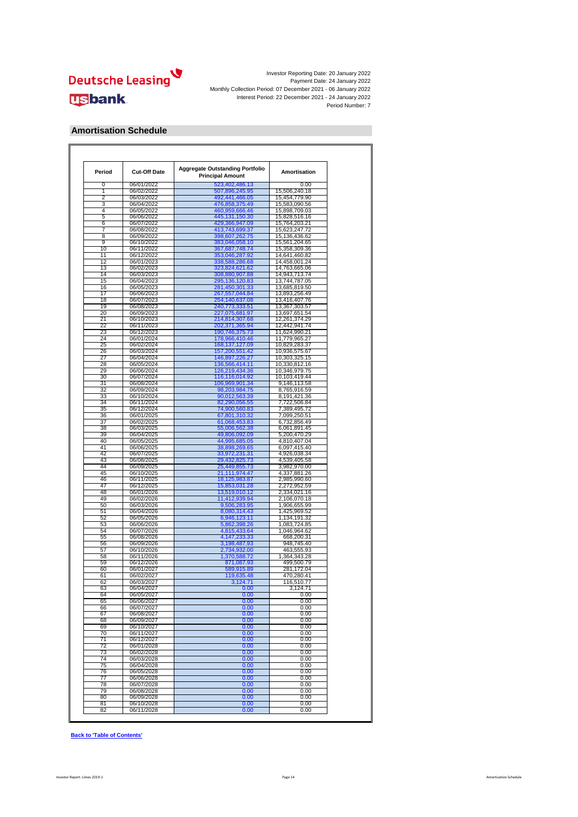

### **Amortisation Schedule**

| Period   | <b>Cut-Off Date</b>      | <b>Aggregate Outstanding Portfolio</b><br><b>Principal Amount</b> | Amortisation                   |
|----------|--------------------------|-------------------------------------------------------------------|--------------------------------|
| 0        | 06/01/2022               | 523,402,486.13                                                    | 0.00                           |
| 1        | 06/02/2022               | 507,896,245.95                                                    | 15,506,240.18                  |
| 2        | 06/03/2022               | 492,441,466.05                                                    | 15,454,779.90                  |
| 3<br>4   | 06/04/2022<br>06/05/2022 | 476,858,375.49                                                    | 15,583,090.56                  |
| 5        | 06/06/2022               | 460,959,666.46<br>445,131,150.30                                  | 15,898,709.03<br>15,828,516.16 |
| 6        | 06/07/2022               | 429,366,947.09                                                    | 15,764,203.21                  |
| 7        | 06/08/2022               | 413,743,699.37                                                    | 15,623,247.72                  |
| 8        | 06/09/2022               | 398,607,262.75                                                    | 15,136,436.62                  |
| 9        | 06/10/2022               | 383,046,058.10                                                    | 15,561,204.65                  |
| 10       | 06/11/2022               | 367,687,748.74                                                    | 15,358,309.36                  |
| 11       | 06/12/2022<br>06/01/2023 | 353,046,287.92                                                    | 14,641,460.82<br>14.458.001.24 |
| 12<br>13 | 06/02/2023               | 338,588,286.68<br>323,824,621.62                                  | 14,763,665.06                  |
| 14       | 06/03/2023               | 308,880,907.88                                                    | 14,943,713.74                  |
| 15       | 06/04/2023               | 295,136,120.83                                                    | 13,744,787.05                  |
| 16       | 06/05/2023               | 281,450,301.33                                                    | 13,685,819.50                  |
| 17       | 06/06/2023               | 267, 557, 044.84                                                  | 13,893,256.49                  |
| 18       | 06/07/2023               | 254,140,637.08                                                    | 13,416,407.76                  |
| 19       | 06/08/2023               | 240,773,333.51                                                    | 13,367,303.57                  |
| 20       | 06/09/2023               | 227,075,681.97                                                    | 13,697,651.54                  |
| 21       | 06/10/2023               | 214,814,307.68                                                    | 12,261,374.29                  |
| 22       | 06/11/2023               | 202,371,365.94                                                    | 12,442,941.74                  |
| 23<br>24 | 06/12/2023<br>06/01/2024 | 190,746,375.73                                                    | 11,624,990.21                  |
| 25       | 06/02/2024               | 178,966,410.46<br>168, 137, 127.09                                | 11,779,965.27<br>10,829,283.37 |
| 26       | 06/03/2024               | 157,200,551.42                                                    | 10,936,575.67                  |
| 27       | 06/04/2024               | 146,897,226.27                                                    | 10,303,325.15                  |
| 28       | 06/05/2024               | 136,566,414.11                                                    | 10,330,812.16                  |
| 29       | 06/06/2024               | 126,219,434.36                                                    | 10,346,979.75                  |
| 30       | 06/07/2024               | 116,116,014.92                                                    | 10,103,419.44                  |
| 31       | 06/08/2024               | 106,969,901.34                                                    | 9,146,113.58                   |
| 32       | 06/09/2024               | 98,203,984.75                                                     | 8,765,916.59                   |
| 33       | 06/10/2024               | 90,012,563.39                                                     | 8,191,421.36                   |
| 34       | 06/11/2024               | 82,290,056.55                                                     | 7,722,506.84                   |
| 35       | 06/12/2024               | 74,900,560.83                                                     | 7,389,495.72                   |
| 36       | 06/01/2025               | 67,801,310.32                                                     | 7,099,250.51                   |
| 37       | 06/02/2025               | 61,068,453.83                                                     | 6,732,856.49<br>6,061,891.45   |
| 38<br>39 | 06/03/2025<br>06/04/2025 | 55,006,562.38                                                     |                                |
| 40       | 06/05/2025               | 49,806,092.09<br>44,995,685.05                                    | 5,200,470.29<br>4,810,407.04   |
| 41       | 06/06/2025               | 38,898,269.65                                                     | 6,097,415.40                   |
| 42       | 06/07/2025               | 33,972,231.31                                                     | 4,926,038.34                   |
| 43       | 06/08/2025               | 29,432,825.73                                                     | 4,539,405.58                   |
| 44       | 06/09/2025               | 25,449,855.73                                                     | 3,982,970.00                   |
| 45       | 06/10/2025               | 21,111,974.47                                                     | 4,337,881.26                   |
| 46       | 06/11/2025               | 18,125,983.87                                                     | 2,985,990.60                   |
| 47       | 06/12/2025               | 15,853,031.28                                                     | 2,272,952.59                   |
| 48       | 06/01/2026               | 13,519,010.12                                                     | 2,334,021.16                   |
| 49<br>50 | 06/02/2026               | 11,412,939.94                                                     | 2,106,070.18                   |
|          | 06/03/2026               | 9,506,283.95                                                      | 1,906,655.99                   |
| 51<br>52 | 06/04/2026<br>06/05/2026 | 8,080,314.43<br>6,946,123.11                                      | 1,425,969.52<br>1,134,191.32   |
| 53       | 06/06/2026               | 5,862,398.26                                                      | 1,083,724.85                   |
| 54       | 06/07/2026               | 4,815,433.64                                                      | 1,046,964.62                   |
| 55       | 06/08/2026               | 4, 147, 233. 33                                                   | 668,200.31                     |
| 56       | 06/09/2026               | 3,198,487.93                                                      | 948,745.40                     |
| 57       | 06/10/2026               | 2,734,932.00                                                      | 463,555.93                     |
| 58       | 06/11/2026               | 1,370,588.72                                                      | 1,364,343.28                   |
| 59       | 06/12/2026               | 871,087.93                                                        | 499,500.79                     |
| 60       | 06/01/2027               | 589,915.89                                                        | 281,172.04                     |
| 61       | 06/02/2027               | 119,635.48                                                        | 470,280.41                     |
| 62       | 06/03/2027               |                                                                   | 116 510 77                     |
| 63       | 06/04/2027               | 0.00                                                              | 3,124.71                       |
| 64<br>65 | 06/05/2027<br>06/06/2027 | 0.00<br>0.00                                                      | 0.00<br>0.00                   |
| 66       | 06/07/2027               | 0.00                                                              | 0.00                           |
| 67       | 06/08/2027               | 0.00                                                              | 0.00                           |
| 68       | 06/09/2027               | 0.00                                                              | 0.00                           |
| 69       | 06/10/2027               | 0.00                                                              | 0.00                           |
| 70       | 06/11/2027               | 0.00                                                              | 0.00                           |
| 71       | 06/12/2027               | 0.00                                                              | 0.00                           |
| 72       | 06/01/2028               | 0.00                                                              | 0.00                           |
| 73       | 06/02/2028               | 0.00                                                              | 0.00                           |
| 74       | 06/03/2028               | 0.00                                                              | 0.00                           |
| 75       | 06/04/2028               | 0.00                                                              | 0.00                           |
| 76       | 06/05/2028               | 0.00                                                              | 0.00                           |
| 77       | 06/06/2028               | 0.00                                                              | 0.00                           |
| 78       | 06/07/2028               | 0.00                                                              | 0.00                           |
| 79       | 06/08/2028<br>06/09/2028 | 0.00                                                              | 0.00<br>0.00                   |
|          |                          | 0.00                                                              |                                |
| 80<br>81 | 06/10/2028               | 0.00                                                              | 0.00                           |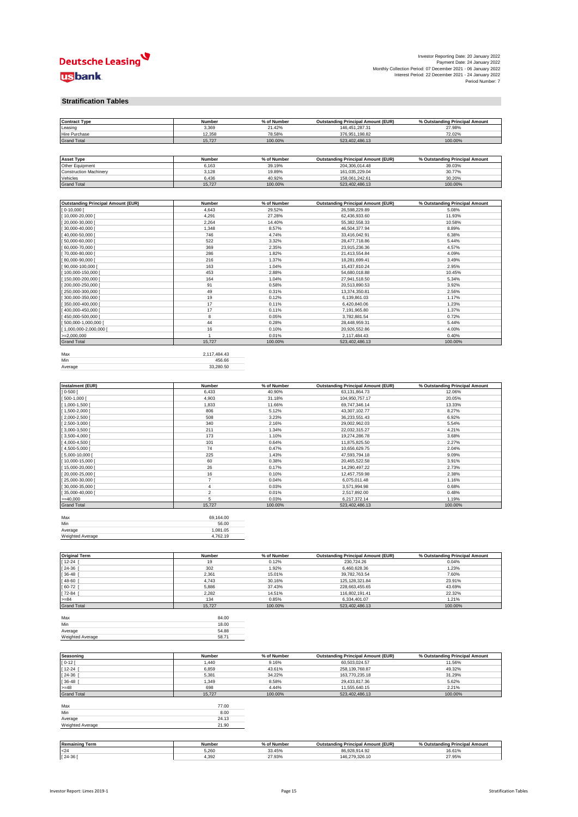

| Investor Reporting Date: 20 January 2022                      |  |
|---------------------------------------------------------------|--|
| Payment Date: 24 January 2022                                 |  |
| Monthly Collection Period: 07 December 2021 - 06 January 2022 |  |
| Interest Period: 22 December 2021 - 24 January 2022           |  |
| Period Number: 7                                              |  |

#### **Stratification Tables**

| <b>Contract Type</b>                             | Number           | % of Number           | <b>Outstanding Principal Amount (EUR)</b>                   | % Outstanding Principal Amount |
|--------------------------------------------------|------------------|-----------------------|-------------------------------------------------------------|--------------------------------|
| easing                                           | 3,369            | 21.42%                | 146,451,287.31                                              | 27.98%                         |
| Hire Purchase                                    | 12,358           | 78.58%                | 376,951,198.82                                              | 72.02%                         |
| <b>Grand Total</b>                               | 15,727           | 100.00%               | 523,402,486.13                                              | 100.00%                        |
|                                                  |                  |                       |                                                             |                                |
|                                                  |                  |                       |                                                             |                                |
| <b>Asset Type</b>                                | Number           | % of Number<br>39.19% | <b>Outstanding Principal Amount (EUR)</b><br>204,306,014.48 | % Outstanding Principal Amount |
| Other Equipment<br><b>Construction Machinery</b> | 6,163<br>3,128   | 19.89%                | 161,035,229.04                                              | 39.03%<br>30.77%               |
| Vehicles                                         | 6,436            | 40.92%                | 158,061,242.61                                              | 30.20%                         |
| <b>Grand Total</b>                               | 15,727           | 100.00%               | 523,402,486.13                                              | 100.00%                        |
|                                                  |                  |                       |                                                             |                                |
|                                                  |                  |                       |                                                             |                                |
| <b>Outstanding Principal Amount (EUR)</b>        | Number           | % of Number           | <b>Outstanding Principal Amount (EUR)</b>                   | % Outstanding Principal Amount |
| $0-10,000$                                       | 4,643            | 29.52%                | 26,598,229.89                                               | 5.08%                          |
| 10,000-20,000                                    | 4,291            | 27.28%                | 62,436,933.60                                               | 11.93%                         |
| 20,000-30,000                                    | 2,264            | 14.40%                | 55, 382, 558. 33                                            | 10.58%                         |
| 30,000-40,000<br>40,000-50,000                   | 1,348<br>746     | 8.57%<br>4.74%        | 46,504,377.94<br>33,416,042.91                              | 8.89%<br>6.38%                 |
| 50,000-60,000                                    | 522              | 3.32%                 | 28,477,718.86                                               | 5.44%                          |
| 60,000-70,000                                    | 369              | 2.35%                 | 23,915,236.36                                               | 4.57%                          |
| 70,000-80,000                                    | 286              | 1.82%                 | 21,413,554.84                                               | 4.09%                          |
| 80,000-90,000                                    | 216              | 1.37%                 | 18,281,699.41                                               | 3.49%                          |
| 90,000-100,000                                   | 163              | 1.04%                 | 15,437,810.24                                               | 2.95%                          |
| 100,000-150,000                                  | 453              | 2.88%                 | 54,680,018.88                                               | 10.45%                         |
| 150,000-200,000                                  | 164              | 1.04%                 | 27,941,518.50                                               | 5.34%                          |
| 200,000-250,000                                  | 91               | 0.58%                 | 20,513,890.53                                               | 3.92%                          |
| 250,000-300,000                                  | 49               | 0.31%                 | 13,374,350.81                                               | 2.56%                          |
| 300,000-350,000                                  | 19               | 0.12%                 | 6,139,861.03                                                | 1.17%                          |
| 350,000-400,000                                  | 17               | 0.11%                 | 6,420,840.06                                                | 1.23%                          |
| 400,000-450,000                                  | 17               | 0.11%                 | 7,191,965.80                                                | 1.37%                          |
| 450,000-500,000                                  | 8                | 0.05%                 | 3,782,881.54                                                | 0.72%                          |
| 500,000-1,000,000                                | 44               | 0.28%                 | 28,448,959.31                                               | 5.44%                          |
| 1,000,000-2,000,000                              | 16               | 0.10%                 | 20,926,552.86                                               | 4.00%                          |
| $=2,000,000$                                     | $\mathbf{1}$     | 0.01%                 | 2,117,484.43                                                | 0.40%                          |
| <b>Grand Total</b>                               | 15,727           | 100.00%               | 523,402,486.13                                              | 100.00%                        |
| Max                                              | 2,117,484.43     |                       |                                                             |                                |
| Min                                              | 456.66           |                       |                                                             |                                |
| Average                                          | 33,280.50        |                       |                                                             |                                |
|                                                  |                  |                       |                                                             |                                |
|                                                  |                  |                       |                                                             |                                |
| Instalment (EUR)                                 | Number           | % of Number           | <b>Outstanding Principal Amount (EUR)</b>                   | % Outstanding Principal Amount |
| $0 - 500$                                        | 6,433            | 40.90%                | 63, 131, 864. 73                                            | 12.06%                         |
| 500-1,000                                        | 4,903            | 31.18%                | 104,950,757.17                                              | 20.05%                         |
| 1,000-1,500                                      | 1,833            | 11.66%                | 69,747,346.14                                               | 13.33%                         |
| 1,500-2,000                                      | 806              | 5.12%                 | 43,307,102.77                                               | 8.27%                          |
| 2,000-2,500                                      | 508              | 3.23%                 | 36,233,551.43                                               | 6.92%                          |
| 2,500-3,000                                      | 340              | 2.16%                 | 29,002,962.03                                               | 5.54%                          |
| 3,000-3,500                                      | 211              | 1.34%                 | 22,032,315.27                                               | 4.21%                          |
| 3,500-4,000                                      | 173              | 1.10%                 | 19,274,286.78                                               | 3.68%                          |
| 4,000-4,500                                      | 101              | 0.64%                 | 11,875,825.50                                               | 2.27%                          |
| 4,500-5,000<br>5,000-10,000                      | 74<br>225        | 0.47%<br>1.43%        | 10,656,629.75<br>47,593,794.18                              | 2.04%<br>9.09%                 |
| 10,000-15,000                                    | 60               | 0.38%                 | 20,465,522.58                                               | 3.91%                          |
| 15,000-20,000                                    | 26               | 0.17%                 | 14,290,497.22                                               | 2.73%                          |
| 20,000-25,000                                    | 16               | 0.10%                 | 12,457,759.98                                               | 2.38%                          |
| 25,000-30,000                                    | $\overline{7}$   | 0.04%                 | 6,075,011.48                                                | 1.16%                          |
| 30,000-35,000                                    | $\pmb{4}$        | 0.03%                 | 3,571,994.98                                                | 0.68%                          |
| 35,000-40,000 [                                  | $\boldsymbol{2}$ | 0.01%                 | 2,517,892.00                                                | 0.48%                          |
| $-40,000$                                        | 5                | 0.03%                 | 6,217,372.14                                                | 1.19%                          |
| <b>Grand Total</b>                               | 15,727           | 100.00%               | 523,402,486.13                                              | 100.00%                        |
|                                                  |                  |                       |                                                             |                                |
| Max                                              | 69,164.00        |                       |                                                             |                                |
| Min                                              | 56.00            |                       |                                                             |                                |
| Average                                          | 1,081.05         |                       |                                                             |                                |
| Weighted Average                                 | 4,762.19         |                       |                                                             |                                |
|                                                  |                  |                       |                                                             |                                |
| <b>Original Term</b>                             | Number           | % of Number           | <b>Outstanding Principal Amount (EUR)</b>                   | % Outstanding Principal Amount |
| 12-24                                            | 19               | 0.12%                 | 230,724.26                                                  | 0.04%                          |
| 24-36                                            | 302              | 1.92%                 | 6,460,628.36                                                | 1.23%                          |
| 36-48                                            | 2,361            | 15.01%                | 39,782,763.54                                               | 7.60%                          |
| 48-60                                            | 4,743            | 30.16%                | 125, 128, 321.84                                            | 23.91%                         |
| 60-72                                            | 5,886            | 37.43%                | 228,663,455.65                                              | 43.69%                         |
| 72-84                                            | 2,282            | 14.51%                | 116,802,191.41                                              | 22.32%                         |
| $= 84$                                           | 134              | 0.85%                 | 6,334,401.07                                                | 1.21%                          |
| <b>Grand Total</b>                               | 15,727           | 100.00%               | 523,402,486.13                                              | 100.00%                        |
|                                                  |                  |                       |                                                             |                                |
| Max                                              | 84.00<br>18.00   |                       |                                                             |                                |
| Min<br>Average                                   | 54.88            |                       |                                                             |                                |
| Weighted Average                                 | 58.71            |                       |                                                             |                                |
|                                                  |                  |                       |                                                             |                                |
|                                                  |                  |                       |                                                             |                                |
| Seasoning                                        | Number           | % of Number           | <b>Outstanding Principal Amount (EUR)</b>                   | % Outstanding Principal Amount |
| $0 - 12$                                         | 1,440            | 9.16%                 | 60,503,024.57                                               | 11.56%                         |
| 12-24                                            | 6,859            | 43.61%                | 258,139,768.87                                              | 49.32%                         |
| 24-36                                            | 5,381            | 34.22%                | 163,770,235.18                                              | 31.29%                         |
| 36-48                                            | 1,349            | 8.58%                 | 29,433,817.36                                               | 5.62%                          |
| $=48$                                            | 698              | 4.44%                 | 11,555,640.15                                               | 2.21%                          |
| <b>Grand Total</b>                               | 15,727           | 100.00%               | 523,402,486.13                                              | 100.00%                        |
| Max                                              | 77.00            |                       |                                                             |                                |
| Min                                              | 8.00             |                       |                                                             |                                |
| Average                                          | 24.13            |                       |                                                             |                                |
| Weighted Average                                 | 21.90            |                       |                                                             |                                |
|                                                  |                  |                       |                                                             |                                |
|                                                  |                  |                       |                                                             |                                |
| <b>Remaining Term</b>                            | Number           | % of Number           | <b>Outstanding Principal Amount (EUR)</b>                   | % Outstanding Principal Amount |
| 24                                               | 5,260            | 33.45%                | 86,928,914.92                                               | 16.61%                         |
| $[24-36]$                                        | 4,392            | 27.93%                | 146,279,326.10                                              | 27.95%                         |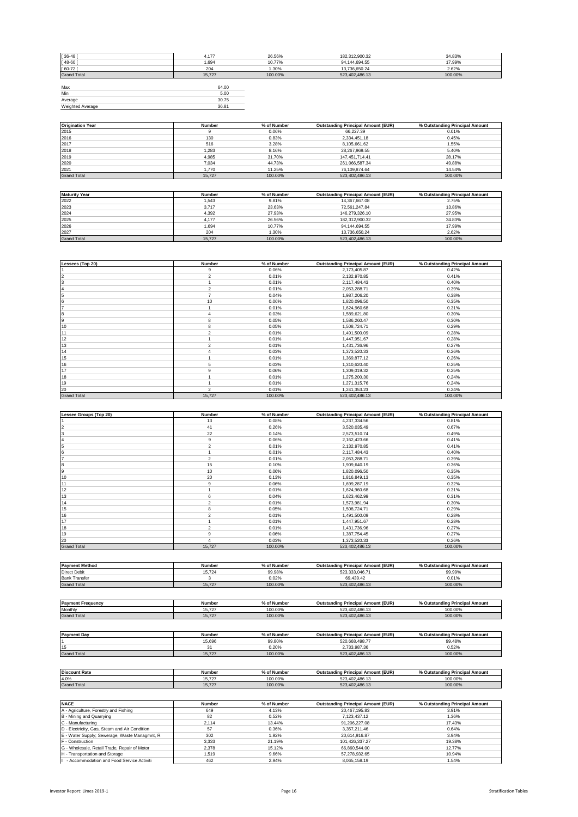| $[36 - 48]$        | 4,177  | 26.56%  | 182,312,900.32   | 34.83%  |
|--------------------|--------|---------|------------------|---------|
| $[48 - 60]$        | 1,694  | 10.77%  | 94, 144, 694. 55 | 17.99%  |
| $[60 - 72]$        | 204    | 1.30%   | 13,736,650.24    | 2.62%   |
| <b>Grand Total</b> | 15,727 | 100.00% | 523,402,486.13   | 100.00% |
|                    |        |         |                  |         |
| Max                | 64.00  |         |                  |         |
| Min                | 5.00   |         |                  |         |
| Average            | 30.75  |         |                  |         |
| Weighted Average   | 36.81  |         |                  |         |

| <b>Origination Year</b> | Number | % of Number | <b>Outstanding Principal Amount (EUR)</b> | % Outstanding Principal Amount |
|-------------------------|--------|-------------|-------------------------------------------|--------------------------------|
| 2015                    |        | 0.06%       | 66.227.39                                 | 0.01%                          |
| 2016                    | 130    | 0.83%       | 2,334,451.18                              | 0.45%                          |
| 2017                    | 516    | 3.28%       | 8.105.661.62                              | 1.55%                          |
| 2018                    | 1.283  | 8.16%       | 28.267.969.55                             | 5.40%                          |
| 2019                    | 4.985  | 31.70%      | 147.451.714.41                            | 28.17%                         |
| 2020                    | 7.034  | 44.73%      | 261,066,587.34                            | 49.88%                         |
| 2021                    | 1.770  | 11.25%      | 76.109.874.64                             | 14.54%                         |
| <b>Grand Total</b>      | 15.727 | 100.00%     | 523.402.486.13                            | 100.00%                        |

| <b>Maturity Year</b> | Number | % of Number | <b>Outstanding Principal Amount (EUR)</b> | % Outstanding Principal Amount |
|----------------------|--------|-------------|-------------------------------------------|--------------------------------|
| 2022                 | 1.543  | 9.81%       | 14.367.667.08                             | 2.75%                          |
| 2023                 | 3.717  | 23.63%      | 72.561.247.84                             | 13.86%                         |
| 2024                 | 4.392  | 27.93%      | 146.279.326.10                            | 27.95%                         |
| 2025                 | 4.177  | 26.56%      | 182.312.900.32                            | 34.83%                         |
| 2026                 | 1.694  | 10.77%      | 94.144.694.55                             | 17.99%                         |
| 2027                 | 204    | 1.30%       | 13.736.650.24                             | 2.62%                          |
| <b>Grand Total</b>   | 15.727 | 100.00%     | 523.402.486.13                            | 100.00%                        |

| Lessees (Top 20)   | Number         | % of Number | <b>Outstanding Principal Amount (EUR)</b> | % Outstanding Principal Amount |
|--------------------|----------------|-------------|-------------------------------------------|--------------------------------|
|                    | 9              | 0.06%       | 2,173,405.87                              | 0.42%                          |
| 2                  | $\overline{2}$ | 0.01%       | 2,132,970.85                              | 0.41%                          |
| 3                  |                | 0.01%       | 2,117,484.43                              | 0.40%                          |
|                    | $\overline{2}$ | 0.01%       | 2,053,288.71                              | 0.39%                          |
| 5                  | $\overline{z}$ | 0.04%       | 1,987,206.20                              | 0.38%                          |
| 6                  | 10             | 0.06%       | 1,820,096.50                              | 0.35%                          |
|                    |                | 0.01%       | 1,624,960.68                              | 0.31%                          |
| 8                  | 4              | 0.03%       | 1,589,621.80                              | 0.30%                          |
| 9                  | R              | 0.05%       | 1,586,260.47                              | 0.30%                          |
| 10                 | 8              | 0.05%       | 1,508,724.71                              | 0.29%                          |
| 11                 | $\overline{2}$ | 0.01%       | 1,491,500.09                              | 0.28%                          |
| 12                 |                | 0.01%       | 1,447,951.67                              | 0.28%                          |
| 13                 | $\mathfrak{p}$ | 0.01%       | 1,431,736.96                              | 0.27%                          |
| 14                 | 4              | 0.03%       | 1,373,520.33                              | 0.26%                          |
| 15                 |                | 0.01%       | 1,369,877.12                              | 0.26%                          |
| 16                 | 5              | 0.03%       | 1,310,620.40                              | 0.25%                          |
| 17                 | 9              | 0.06%       | 1,309,019.32                              | 0.25%                          |
| 18                 |                | 0.01%       | 1,275,200.30                              | 0.24%                          |
| 19                 |                | 0.01%       | 1,271,315.76                              | 0.24%                          |
| 20                 | $\mathfrak{p}$ | 0.01%       | 1,241,353.23                              | 0.24%                          |
| <b>Grand Total</b> | 15,727         | 100.00%     | 523,402,486.13                            | 100.00%                        |

| Lessee Groups (Top 20) | Number         | % of Number | <b>Outstanding Principal Amount (EUR)</b> | % Outstanding Principal Amount |
|------------------------|----------------|-------------|-------------------------------------------|--------------------------------|
|                        | 13             | 0.08%       | 4,237,334.56                              | 0.81%                          |
| $\overline{2}$         | 41             | 0.26%       | 3,520,035.49                              | 0.67%                          |
| 3                      | 22             | 0.14%       | 2,573,510.74                              | 0.49%                          |
| 4                      | 9              | 0.06%       | 2,162,423.66                              | 0.41%                          |
| 5                      | $\overline{2}$ | 0.01%       | 2,132,970.85                              | 0.41%                          |
| 6                      |                | 0.01%       | 2,117,484.43                              | 0.40%                          |
|                        | $\overline{2}$ | 0.01%       | 2,053,288.71                              | 0.39%                          |
| 8                      | 15             | 0.10%       | 1,909,640.19                              | 0.36%                          |
| 9                      | 10             | 0.06%       | 1,820,096.50                              | 0.35%                          |
| 10                     | 20             | 0.13%       | 1,816,849.13                              | 0.35%                          |
| 11                     | 9              | 0.06%       | 1,699,287.19                              | 0.32%                          |
| 12                     |                | 0.01%       | 1,624,960.68                              | 0.31%                          |
| 13                     | 6              | 0.04%       | 1,623,462.99                              | 0.31%                          |
| 14                     | 2              | 0.01%       | 1,573,981.94                              | 0.30%                          |
| 15                     | 8              | 0.05%       | 1,508,724.71                              | 0.29%                          |
| 16                     | $\overline{2}$ | 0.01%       | 1,491,500.09                              | 0.28%                          |
| 17                     |                | 0.01%       | 1,447,951.67                              | 0.28%                          |
| 18                     | $\overline{2}$ | 0.01%       | 1,431,736.96                              | 0.27%                          |
| 19                     | 9              | 0.06%       | 1,387,754.45                              | 0.27%                          |
| 20                     | Λ              | 0.03%       | 1,373,520.33                              | 0.26%                          |
| <b>Grand Total</b>     | 15,727         | 100.00%     | 523,402,486.13                            | 100.00%                        |

| <b>Payment Method</b>    | Number | % of Number | <b>Outstanding Principal Amount (EUR)</b> | % Outstanding Principal Amount |
|--------------------------|--------|-------------|-------------------------------------------|--------------------------------|
| Direct Debit             | 15.724 | 99.98%      | 523.333.046.71                            | 99.99%                         |
| <b>Bank Transfer</b>     |        | 0.02%       | 69.439.42                                 | 0.01%                          |
| <b>Grand Total</b>       | 15.727 | 100.00%     | 523.402.486.13                            | 100.00%                        |
|                          |        |             |                                           |                                |
|                          |        |             |                                           |                                |
| <b>Payment Frequency</b> | Number | % of Number | <b>Outstanding Principal Amount (EUR)</b> | % Outstanding Principal Amount |

| Monthly            | 15.727        | 100.00%     | 523.402.486.13                            | 100.00%                        |
|--------------------|---------------|-------------|-------------------------------------------|--------------------------------|
| <b>Grand Total</b> | 15.727        | 100.00%     | 523.402.486.13                            | 100.00%                        |
|                    |               |             |                                           |                                |
|                    |               |             |                                           |                                |
| <b>Payment Day</b> | <b>Number</b> | % of Number | <b>Outstanding Principal Amount (EUR)</b> | % Outstanding Principal Amount |
|                    | 15.696        | 99.80%      | 520.668.498.77                            | 99.48%                         |

15 31 0.20% 2,733,987.36 0.52%

| <b>Grand Total</b>   | 15.727        | 100.00%     | 523.402.486.13                            | 100.00%                        |
|----------------------|---------------|-------------|-------------------------------------------|--------------------------------|
|                      |               |             |                                           |                                |
|                      |               |             |                                           |                                |
| <b>Discount Rate</b> | <b>Number</b> | % of Number | <b>Outstanding Principal Amount (EUR)</b> | % Outstanding Principal Amount |
| 4.0%                 | 15,727        | 100.00%     | 523.402.486.13                            | 100.00%                        |
|                      |               |             |                                           |                                |

| <b>NACE</b>                                   | Number | % of Number | <b>Outstanding Principal Amount (EUR)</b> | % Outstanding Principal Amount |
|-----------------------------------------------|--------|-------------|-------------------------------------------|--------------------------------|
| A - Agriculture, Forestry and Fishing         | 649    | 4.13%       | 20.467.195.83                             | 3.91%                          |
| B - Mining and Quarrying                      | 82     | 0.52%       | 7.123.437.12                              | 1.36%                          |
| C - Manufacturing                             | 2.114  | 13.44%      | 91.206.227.08                             | 17.43%                         |
| D - Electricity, Gas, Steam and Air Condition | 57     | 0.36%       | 3.357.211.46                              | 0.64%                          |
| E - Water Supply; Sewerage, Waste Managmnt, R | 302    | 1.92%       | 20.614.916.87                             | 3.94%                          |
| F - Construction                              | 3.333  | 21.19%      | 101.426.337.27                            | 19.38%                         |
| G - Wholesale, Retail Trade, Repair of Motor  | 2.378  | 15.12%      | 66.860.544.00                             | 12.77%                         |
| H - Transportation and Storage                | 1.519  | 9.66%       | 57.278.932.65                             | 10.94%                         |
| - Accommodation and Food Service Activiti     | 462    | 2.94%       | 8.065.158.19                              | 1.54%                          |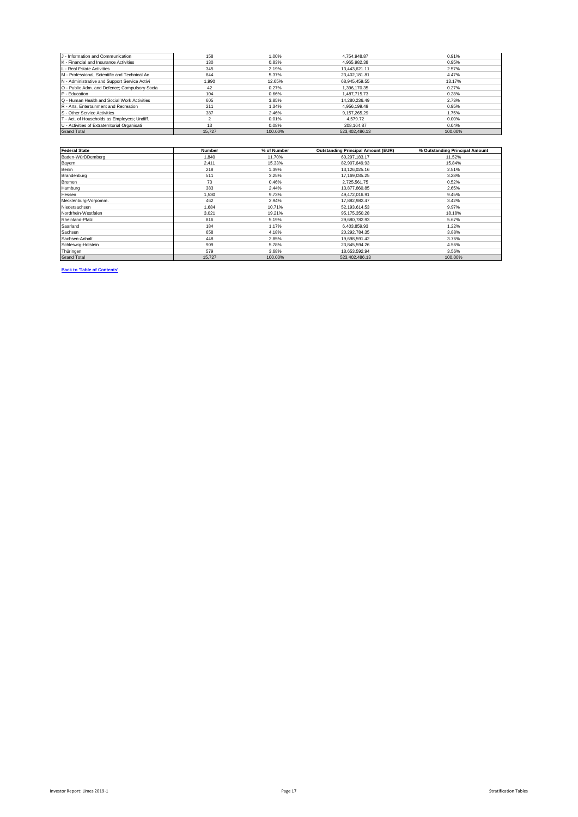| J - Information and Communication             | 158    | 1.00%   | 4.754.948.87   | 0.91%   |
|-----------------------------------------------|--------|---------|----------------|---------|
| K - Financial and Insurance Activities        | 130    | 0.83%   | 4.965.982.38   | 0.95%   |
| L - Real Estate Activities                    | 345    | 2.19%   | 13.443.621.11  | 2.57%   |
| M - Professional, Scientific and Technical Ac | 844    | 5.37%   | 23.402.181.81  | 4.47%   |
| N - Administrative and Support Service Activi | 1.990  | 12.65%  | 68.945.459.55  | 13.17%  |
| O - Public Adm. and Defence; Compulsory Socia | 42     | 0.27%   | 1.396.170.35   | 0.27%   |
| P - Education                                 | 104    | 0.66%   | 1.487.715.73   | 0.28%   |
| Q - Human Health and Social Work Activities   | 605    | 3.85%   | 14.280.236.49  | 2.73%   |
| R - Arts. Entertainment and Recreation        | 211    | 1.34%   | 4.956.199.49   | 0.95%   |
| S - Other Service Activities                  | 387    | 2.46%   | 9.157.265.29   | 1.75%   |
| T - Act. of Households as Employers; Undiff.  |        | 0.01%   | 4.579.72       | 0.00%   |
| U - Activities of Extraterritorial Organisati | 13     | 0.08%   | 208.164.87     | 0.04%   |
| <b>Grand Total</b>                            | 15.727 | 100.00% | 523.402.486.13 | 100.00% |

| <b>Federal State</b> | <b>Number</b> | % of Number | <b>Outstanding Principal Amount (EUR)</b> | % Outstanding Principal Amount |
|----------------------|---------------|-------------|-------------------------------------------|--------------------------------|
| Baden-WürDDemberg    | 1.840         | 11.70%      | 60.297.183.17                             | 11.52%                         |
| Bayern               | 2.411         | 15.33%      | 82,907,649.93                             | 15.84%                         |
| <b>Berlin</b>        | 218           | 1.39%       | 13,126,025.16                             | 2.51%                          |
| Brandenburg          | 511           | 3.25%       | 17,169,035.25                             | 3.28%                          |
| Bremen               | 73            | 0.46%       | 2,725,561.75                              | 0.52%                          |
| Hamburg              | 383           | 2.44%       | 13,877,860.85                             | 2.65%                          |
| Hessen               | 1.530         | 9.73%       | 49,472,016.91                             | 9.45%                          |
| Mecklenburg-Vorpomm. | 462           | 2.94%       | 17.882.982.47                             | 3.42%                          |
| Niedersachsen        | 1.684         | 10.71%      | 52.193.614.53                             | 9.97%                          |
| Nordrhein-Westfalen  | 3.021         | 19.21%      | 95, 175, 350. 28                          | 18.18%                         |
| Rheinland-Pfalz      | 816           | 5.19%       | 29,680,782.93                             | 5.67%                          |
| Saarland             | 184           | 1.17%       | 6,403,859.93                              | 1.22%                          |
| Sachsen              | 658           | 4.18%       | 20.292.784.35                             | 3.88%                          |
| Sachsen-Anhalt       | 448           | 2.85%       | 19,698,591.42                             | 3.76%                          |
| Schleswig-Holstein   | 909           | 5.78%       | 23,845,594.26                             | 4.56%                          |
| Thüringen            | 579           | 3.68%       | 18,653,592.94                             | 3.56%                          |
| <b>Grand Total</b>   | 15,727        | 100.00%     | 523,402,486.13                            | 100.00%                        |